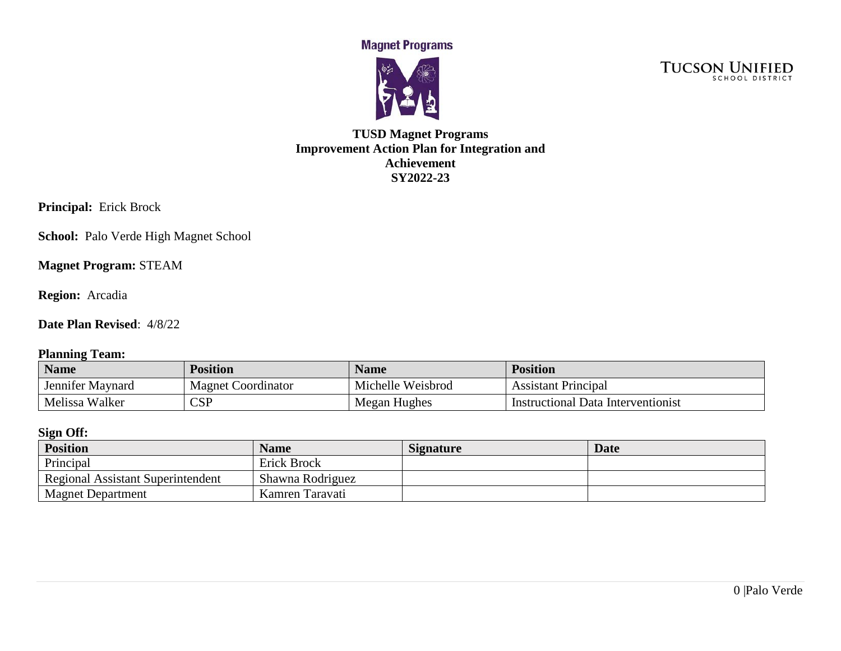**Magnet Programs** 



**TUCSON UNIFIED** 

## **TUSD Magnet Programs Improvement Action Plan for Integration and Achievement SY2022-23**

**Principal:** Erick Brock

**School:** Palo Verde High Magnet School

**Magnet Program:** STEAM

**Region:** Arcadia

**Date Plan Revised**: 4/8/22

#### **Planning Team:**

| <b>Name</b>      | <b>Position</b>           | <b>Name</b>       | <b>Position</b>                    |
|------------------|---------------------------|-------------------|------------------------------------|
| Jennifer Maynard | <b>Magnet Coordinator</b> | Michelle Weisbrod | <b>Assistant Principal</b>         |
| Melissa Walker   | CSP                       | Megan Hughes      | Instructional Data Interventionist |

#### **Sign Off:**

| <b>Position</b>                          | <b>Name</b>      | <b>Signature</b> | Date |
|------------------------------------------|------------------|------------------|------|
| Principal                                | Erick Brock      |                  |      |
| <b>Regional Assistant Superintendent</b> | Shawna Rodriguez |                  |      |
| <b>Magnet Department</b>                 | Kamren Taravati  |                  |      |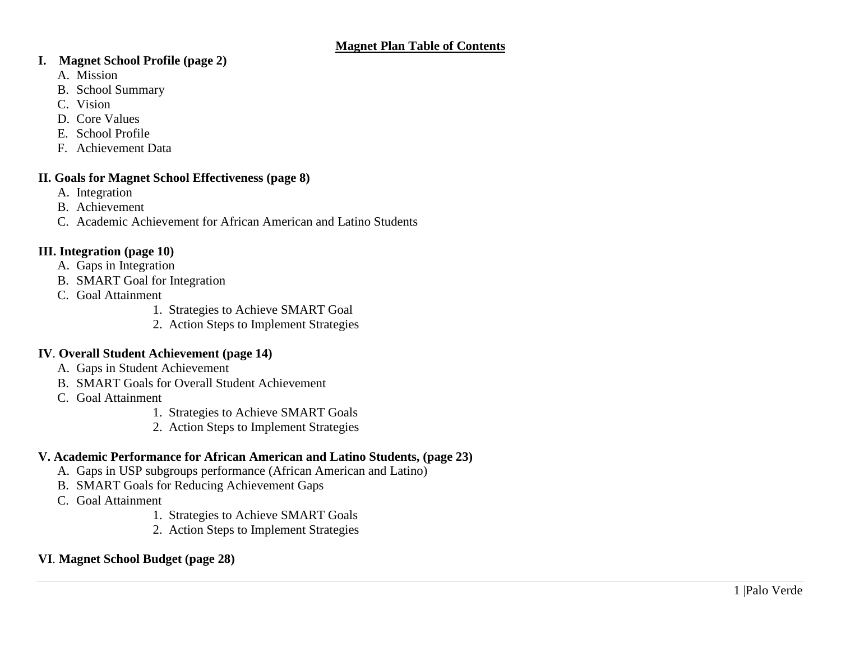#### **I. Magnet School Profile (page 2)**

- A. Mission
- B. School Summary
- C. Vision
- D. Core Values
- E. School Profile
- F. Achievement Data

#### **II. Goals for Magnet School Effectiveness (page 8)**

- A. Integration
- B. Achievement
- C. Academic Achievement for African American and Latino Students

## **III. Integration (page 10)**

- A. Gaps in Integration
- B. SMART Goal for Integration
- C. Goal Attainment
	- 1. Strategies to Achieve SMART Goal
	- 2. Action Steps to Implement Strategies

### **IV**. **Overall Student Achievement (page 14)**

- A. Gaps in Student Achievement
- B. SMART Goals for Overall Student Achievement
- C. Goal Attainment
	- 1. Strategies to Achieve SMART Goals
	- 2. Action Steps to Implement Strategies

### **V. Academic Performance for African American and Latino Students, (page 23)**

- A. Gaps in USP subgroups performance (African American and Latino)
- B. SMART Goals for Reducing Achievement Gaps
- C. Goal Attainment
	- 1. Strategies to Achieve SMART Goals
	- 2. Action Steps to Implement Strategies

# **VI**. **Magnet School Budget (page 28)**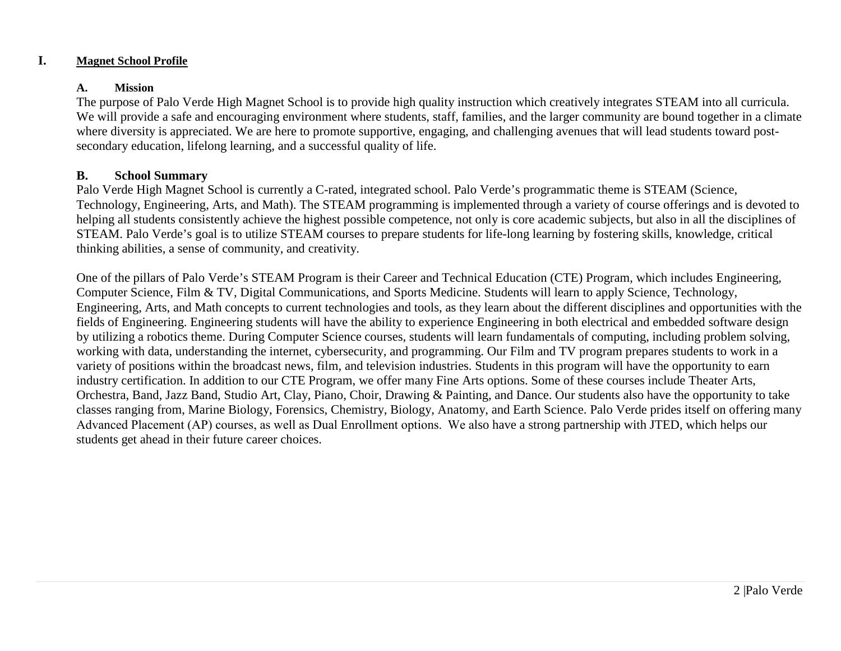#### **I. Magnet School Profile**

#### **A. Mission**

The purpose of Palo Verde High Magnet School is to provide high quality instruction which creatively integrates STEAM into all curricula. We will provide a safe and encouraging environment where students, staff, families, and the larger community are bound together in a climate where diversity is appreciated. We are here to promote supportive, engaging, and challenging avenues that will lead students toward postsecondary education, lifelong learning, and a successful quality of life.

#### **B. School Summary**

Palo Verde High Magnet School is currently a C-rated, integrated school. Palo Verde's programmatic theme is STEAM (Science, Technology, Engineering, Arts, and Math). The STEAM programming is implemented through a variety of course offerings and is devoted to helping all students consistently achieve the highest possible competence, not only is core academic subjects, but also in all the disciplines of STEAM. Palo Verde's goal is to utilize STEAM courses to prepare students for life-long learning by fostering skills, knowledge, critical thinking abilities, a sense of community, and creativity.

One of the pillars of Palo Verde's STEAM Program is their Career and Technical Education (CTE) Program, which includes Engineering, Computer Science, Film & TV, Digital Communications, and Sports Medicine. Students will learn to apply Science, Technology, Engineering, Arts, and Math concepts to current technologies and tools, as they learn about the different disciplines and opportunities with the fields of Engineering. Engineering students will have the ability to experience Engineering in both electrical and embedded software design by utilizing a robotics theme. During Computer Science courses, students will learn fundamentals of computing, including problem solving, working with data, understanding the internet, cybersecurity, and programming. Our Film and TV program prepares students to work in a variety of positions within the broadcast news, film, and television industries. Students in this program will have the opportunity to earn industry certification. In addition to our CTE Program, we offer many Fine Arts options. Some of these courses include Theater Arts, Orchestra, Band, Jazz Band, Studio Art, Clay, Piano, Choir, Drawing & Painting, and Dance. Our students also have the opportunity to take classes ranging from, Marine Biology, Forensics, Chemistry, Biology, Anatomy, and Earth Science. Palo Verde prides itself on offering many Advanced Placement (AP) courses, as well as Dual Enrollment options.  We also have a strong partnership with JTED, which helps our students get ahead in their future career choices.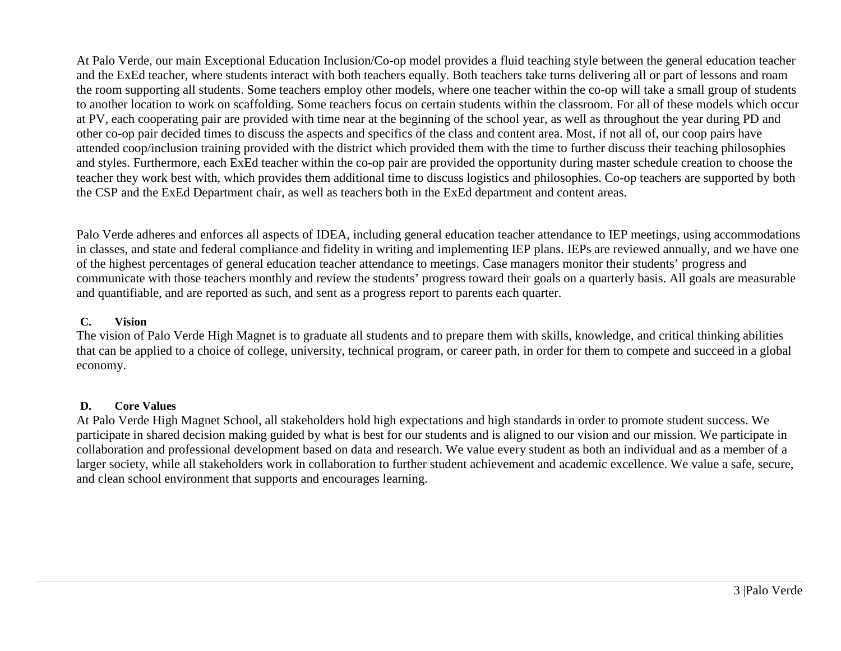At Palo Verde, our main Exceptional Education Inclusion/Co-op model provides a fluid teaching style between the general education teacher and the ExEd teacher, where students interact with both teachers equally. Both teachers take turns delivering all or part of lessons and roam the room supporting all students. Some teachers employ other models, where one teacher within the co-op will take a small group of students to another location to work on scaffolding. Some teachers focus on certain students within the classroom. For all of these models which occur at PV, each cooperating pair are provided with time near at the beginning of the school year, as well as throughout the year during PD and other co-op pair decided times to discuss the aspects and specifics of the class and content area. Most, if not all of, our coop pairs have attended coop/inclusion training provided with the district which provided them with the time to further discuss their teaching philosophies and styles. Furthermore, each ExEd teacher within the co-op pair are provided the opportunity during master schedule creation to choose the teacher they work best with, which provides them additional time to discuss logistics and philosophies. Co-op teachers are supported by both the CSP and the ExEd Department chair, as well as teachers both in the ExEd department and content areas.

Palo Verde adheres and enforces all aspects of IDEA, including general education teacher attendance to IEP meetings, using accommodations in classes, and state and federal compliance and fidelity in writing and implementing IEP plans. IEPs are reviewed annually, and we have one of the highest percentages of general education teacher attendance to meetings. Case managers monitor their students' progress and communicate with those teachers monthly and review the students' progress toward their goals on a quarterly basis. All goals are measurable and quantifiable, and are reported as such, and sent as a progress report to parents each quarter.

#### **C. Vision**

The vision of Palo Verde High Magnet is to graduate all students and to prepare them with skills, knowledge, and critical thinking abilities that can be applied to a choice of college, university, technical program, or career path, in order for them to compete and succeed in a global economy.

#### **D. Core Values**

At Palo Verde High Magnet School, all stakeholders hold high expectations and high standards in order to promote student success. We participate in shared decision making guided by what is best for our students and is aligned to our vision and our mission. We participate in collaboration and professional development based on data and research. We value every student as both an individual and as a member of a larger society, while all stakeholders work in collaboration to further student achievement and academic excellence. We value a safe, secure, and clean school environment that supports and encourages learning.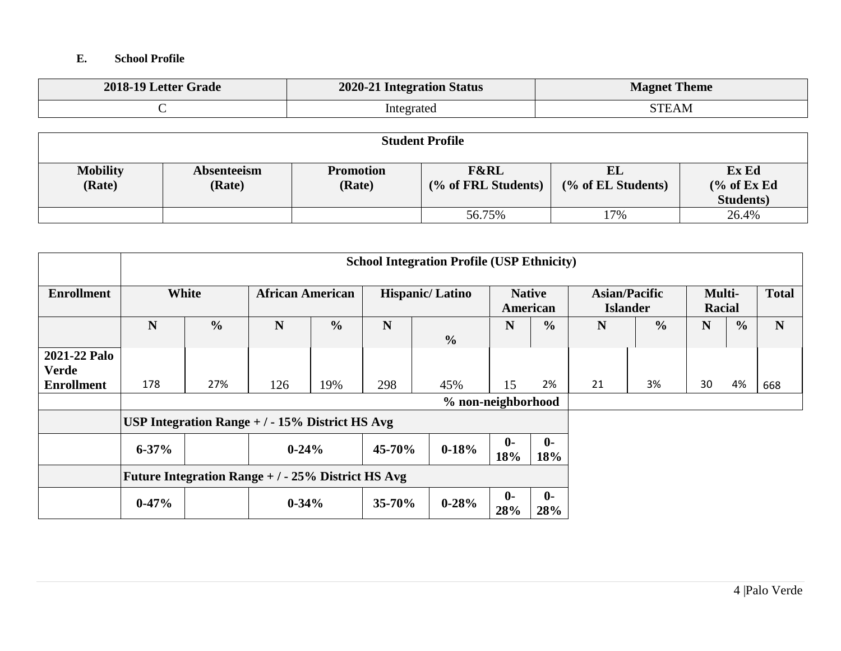#### **E. School Profile**

| 2018-19 Letter Grade | 2020-21 Integration Status | <b>Magnet Theme</b> |
|----------------------|----------------------------|---------------------|
|                      | Integrated                 | STEAM               |

| <b>Student Profile</b>    |                       |                            |                                        |                          |                                                      |  |  |  |
|---------------------------|-----------------------|----------------------------|----------------------------------------|--------------------------|------------------------------------------------------|--|--|--|
| <b>Mobility</b><br>(Rate) | Absenteeism<br>(Rate) | <b>Promotion</b><br>(Rate) | <b>F&amp;RL</b><br>(% of FRL Students) | EL<br>(% of EL Students) | Ex Ed<br>$\frac{6}{6}$ of Ex Ed<br><b>Students</b> ) |  |  |  |
|                           |                       |                            | 56.75%                                 | 17%                      | 26.4%                                                |  |  |  |

|                              |           | <b>School Integration Profile (USP Ethnicity)</b>  |                         |                                                         |        |                           |                     |                           |                 |                      |                  |               |              |
|------------------------------|-----------|----------------------------------------------------|-------------------------|---------------------------------------------------------|--------|---------------------------|---------------------|---------------------------|-----------------|----------------------|------------------|---------------|--------------|
| <b>Enrollment</b>            |           | White                                              | <b>African American</b> |                                                         |        | <b>Hispanic/Latino</b>    |                     | <b>Native</b><br>American | <b>Islander</b> | <b>Asian/Pacific</b> | Multi-<br>Racial |               | <b>Total</b> |
|                              | N         | $\frac{0}{0}$                                      | N                       | $\frac{0}{0}$                                           | N      | $\frac{0}{0}$             | N                   | $\frac{0}{0}$             | N               | $\frac{0}{0}$        | N                | $\frac{0}{0}$ | N            |
| 2021-22 Palo<br><b>Verde</b> | 178       | 27%                                                |                         |                                                         |        |                           |                     | 2%                        | 21              | 3%                   | 30               | 4%            |              |
| <b>Enrollment</b>            |           |                                                    | 126                     | 19%                                                     | 298    | 45%<br>% non-neighborhood | 15                  |                           |                 |                      |                  |               | 668          |
|                              |           | USP Integration Range $+/-15%$ District HS Avg     |                         |                                                         |        |                           |                     |                           |                 |                      |                  |               |              |
|                              | $6 - 37%$ |                                                    |                         | $\mathbf{0}$<br>$0 - 18%$<br>45-70%<br>$0 - 24%$<br>18% |        |                           | $\mathbf{0}$<br>18% |                           |                 |                      |                  |               |              |
|                              |           | Future Integration Range $+/-25\%$ District HS Avg |                         |                                                         |        |                           |                     |                           |                 |                      |                  |               |              |
|                              | $0-47%$   |                                                    | $0 - 34\%$              |                                                         | 35-70% | $0 - 28%$                 | $\mathbf{0}$<br>28% | $\mathbf{0}$<br>28%       |                 |                      |                  |               |              |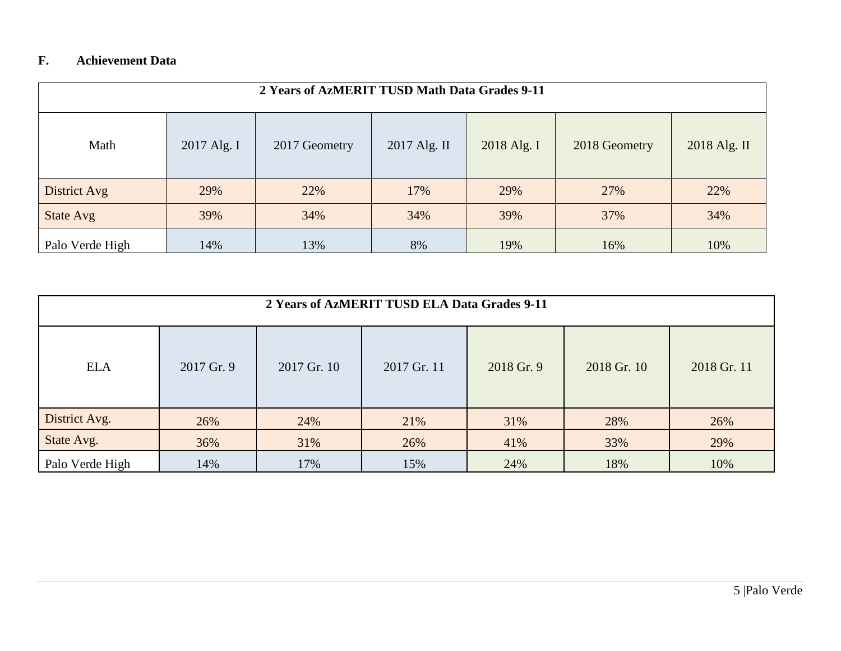# **F. Achievement Data**

| 2 Years of AzMERIT TUSD Math Data Grades 9-11 |             |               |              |             |               |              |  |  |  |
|-----------------------------------------------|-------------|---------------|--------------|-------------|---------------|--------------|--|--|--|
| Math                                          | 2017 Alg. I | 2017 Geometry | 2017 Alg. II | 2018 Alg. I | 2018 Geometry | 2018 Alg. II |  |  |  |
| District Avg                                  | 29%         | 22%           | 17%          | 29%         | 27%           | 22%          |  |  |  |
| <b>State Avg</b>                              | 39%         | 34%           | 34%          | 39%         | 37%           | 34%          |  |  |  |
| Palo Verde High                               | 14%         | 13%           | 8%           | 19%         | 16%           | 10%          |  |  |  |

| 2 Years of AzMERIT TUSD ELA Data Grades 9-11 |            |             |             |            |             |             |  |  |  |
|----------------------------------------------|------------|-------------|-------------|------------|-------------|-------------|--|--|--|
| <b>ELA</b>                                   | 2017 Gr. 9 | 2017 Gr. 10 | 2017 Gr. 11 | 2018 Gr. 9 | 2018 Gr. 10 | 2018 Gr. 11 |  |  |  |
| District Avg.                                | 26%        | 24%         | 21%         | 31%        | 28%         | 26%         |  |  |  |
| State Avg.                                   | 36%        | 31%         | 26%         | 41%        | 33%         | 29%         |  |  |  |
| Palo Verde High                              | 14%        | 17%         | 15%         | 24%        | 18%         | 10%         |  |  |  |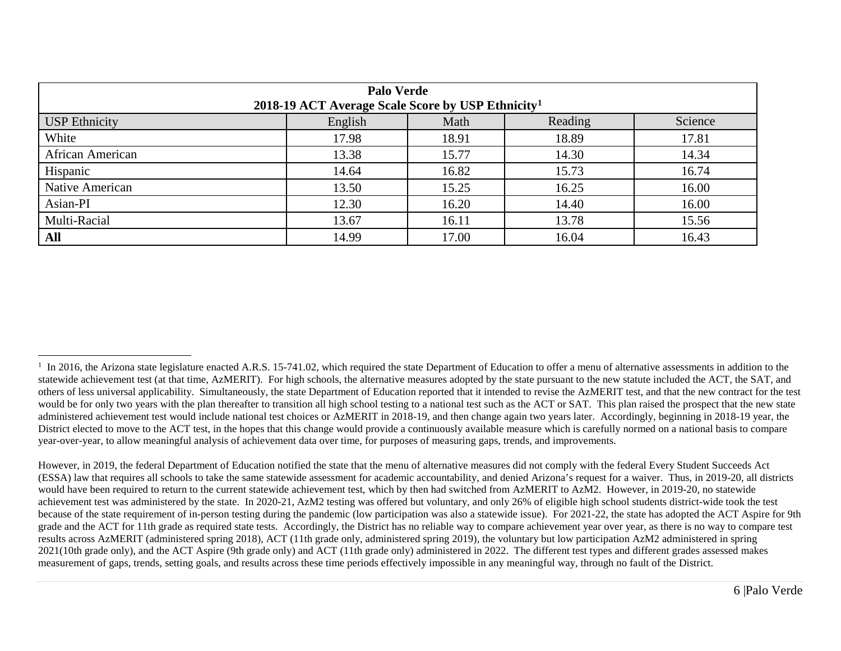<span id="page-6-0"></span>

| <b>Palo Verde</b><br>2018-19 ACT Average Scale Score by USP Ethnicity <sup>1</sup> |         |       |         |         |  |  |  |  |  |
|------------------------------------------------------------------------------------|---------|-------|---------|---------|--|--|--|--|--|
| <b>USP</b> Ethnicity                                                               | English | Math  | Reading | Science |  |  |  |  |  |
| White                                                                              | 17.98   | 18.91 | 18.89   | 17.81   |  |  |  |  |  |
| African American                                                                   | 13.38   | 15.77 | 14.30   | 14.34   |  |  |  |  |  |
| Hispanic                                                                           | 14.64   | 16.82 | 15.73   | 16.74   |  |  |  |  |  |
| Native American                                                                    | 13.50   | 15.25 | 16.25   | 16.00   |  |  |  |  |  |
| Asian-PI                                                                           | 12.30   | 16.20 | 14.40   | 16.00   |  |  |  |  |  |
| Multi-Racial                                                                       | 13.67   | 16.11 | 13.78   | 15.56   |  |  |  |  |  |
| All                                                                                | 14.99   | 17.00 | 16.04   | 16.43   |  |  |  |  |  |

 $\frac{1}{1}$  $1$  In 2016, the Arizona state legislature enacted A.R.S. 15-741.02, which required the state Department of Education to offer a menu of alternative assessments in addition to the statewide achievement test (at that time, AzMERIT). For high schools, the alternative measures adopted by the state pursuant to the new statute included the ACT, the SAT, and others of less universal applicability. Simultaneously, the state Department of Education reported that it intended to revise the AzMERIT test, and that the new contract for the test would be for only two years with the plan thereafter to transition all high school testing to a national test such as the ACT or SAT. This plan raised the prospect that the new state administered achievement test would include national test choices or AzMERIT in 2018-19, and then change again two years later. Accordingly, beginning in 2018-19 year, the District elected to move to the ACT test, in the hopes that this change would provide a continuously available measure which is carefully normed on a national basis to compare year-over-year, to allow meaningful analysis of achievement data over time, for purposes of measuring gaps, trends, and improvements.

However, in 2019, the federal Department of Education notified the state that the menu of alternative measures did not comply with the federal Every Student Succeeds Act (ESSA) law that requires all schools to take the same statewide assessment for academic accountability, and denied Arizona's request for a waiver. Thus, in 2019-20, all districts would have been required to return to the current statewide achievement test, which by then had switched from AzMERIT to AzM2. However, in 2019-20, no statewide achievement test was administered by the state. In 2020-21, AzM2 testing was offered but voluntary, and only 26% of eligible high school students district-wide took the test because of the state requirement of in-person testing during the pandemic (low participation was also a statewide issue). For 2021-22, the state has adopted the ACT Aspire for 9th grade and the ACT for 11th grade as required state tests. Accordingly, the District has no reliable way to compare achievement year over year, as there is no way to compare test results across AzMERIT (administered spring 2018), ACT (11th grade only, administered spring 2019), the voluntary but low participation AzM2 administered in spring 2021(10th grade only), and the ACT Aspire (9th grade only) and ACT (11th grade only) administered in 2022. The different test types and different grades assessed makes measurement of gaps, trends, setting goals, and results across these time periods effectively impossible in any meaningful way, through no fault of the District.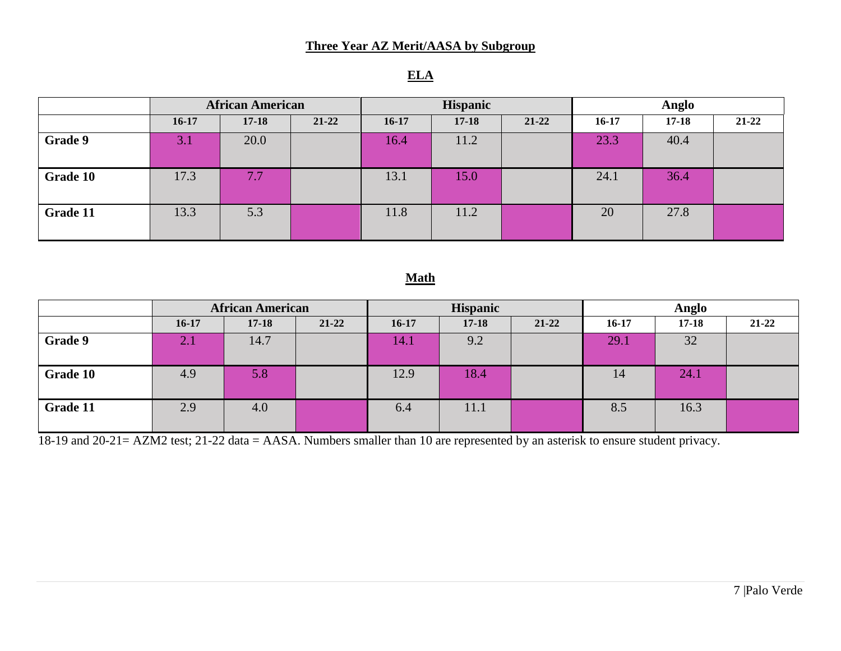### **Three Year AZ Merit/AASA by Subgroup**

|          | <b>African American</b> |           | <b>Hispanic</b> |         |           | Anglo     |           |           |           |
|----------|-------------------------|-----------|-----------------|---------|-----------|-----------|-----------|-----------|-----------|
|          | $16-17$                 | $17 - 18$ | $21 - 22$       | $16-17$ | $17 - 18$ | $21 - 22$ | $16 - 17$ | $17 - 18$ | $21 - 22$ |
| Grade 9  | 3.1                     | 20.0      |                 | 16.4    | 11.2      |           | 23.3      | 40.4      |           |
| Grade 10 | 17.3                    | 7.7       |                 | 13.1    | 15.0      |           | 24.1      | 36.4      |           |
| Grade 11 | 13.3                    | 5.3       |                 | 11.8    | 11.2      |           | 20        | 27.8      |           |

# **ELA**

# **Math**

|          | <b>African American</b> |           |           | <b>Hispanic</b> |           | Anglo     |           |           |           |
|----------|-------------------------|-----------|-----------|-----------------|-----------|-----------|-----------|-----------|-----------|
|          | $16-17$                 | $17 - 18$ | $21 - 22$ | $16-17$         | $17 - 18$ | $21 - 22$ | $16 - 17$ | $17 - 18$ | $21 - 22$ |
| Grade 9  | 2.1                     | 14.7      |           | 14.1            | 9.2       |           | 29.1      | 32        |           |
| Grade 10 | 4.9                     | 5.8       |           | 12.9            | 18.4      |           | 14        | 24.1      |           |
| Grade 11 | 2.9                     | 4.0       |           | 6.4             | 11.1      |           | 8.5       | 16.3      |           |

18-19 and 20-21= AZM2 test; 21-22 data = AASA. Numbers smaller than 10 are represented by an asterisk to ensure student privacy.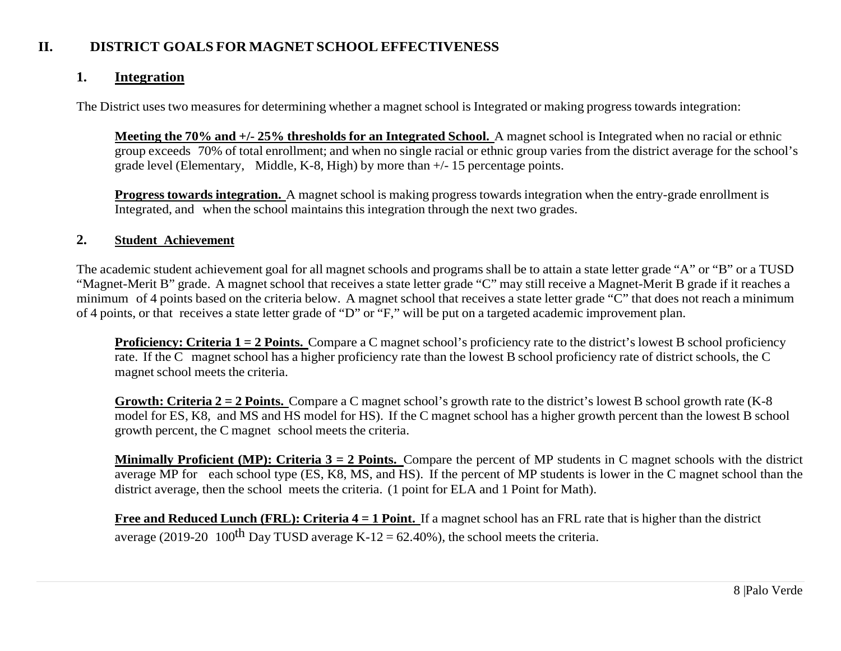## **II. DISTRICT GOALS FOR MAGNET SCHOOL EFFECTIVENESS**

### **1. Integration**

The District uses two measures for determining whether a magnet school is Integrated or making progress towards integration:

**Meeting the 70% and +/- 25% thresholds for an Integrated School.** A magnet school is Integrated when no racial or ethnic group exceeds 70% of total enrollment; and when no single racial or ethnic group varies from the district average for the school's grade level (Elementary, Middle, K-8, High) by more than +/- 15 percentage points.

**Progress towards integration.** A magnet school is making progress towards integration when the entry-grade enrollment is Integrated, and when the school maintains this integration through the next two grades.

#### **2. Student Achievement**

The academic student achievement goal for all magnet schools and programs shall be to attain a state letter grade "A" or "B" or a TUSD "Magnet-Merit B" grade. A magnet school that receives a state letter grade "C" may still receive a Magnet-Merit B grade if it reaches a minimum of 4 points based on the criteria below. A magnet school that receives a state letter grade "C" that does not reach a minimum of 4 points, or that receives a state letter grade of "D" or "F," will be put on a targeted academic improvement plan.

**Proficiency: Criteria 1 = 2 Points.** Compare a C magnet school's proficiency rate to the district's lowest B school proficiency rate. If the C magnet school has a higher proficiency rate than the lowest B school proficiency rate of district schools, the C magnet school meets the criteria.

**Growth: Criteria 2 = 2 Points.** Compare a C magnet school's growth rate to the district's lowest B school growth rate (K-8 model for ES, K8, and MS and HS model for HS). If the C magnet school has a higher growth percent than the lowest B school growth percent, the C magnet school meets the criteria.

**Minimally Proficient (MP): Criteria 3 = 2 Points.** Compare the percent of MP students in C magnet schools with the district average MP for each school type (ES, K8, MS, and HS). If the percent of MP students is lower in the C magnet school than the district average, then the school meets the criteria. (1 point for ELA and 1 Point for Math).

**Free and Reduced Lunch (FRL): Criteria 4 = 1 Point.** If a magnet school has an FRL rate that is higher than the district average (2019-20 100<sup>th</sup> Day TUSD average K-12 = 62.40%), the school meets the criteria.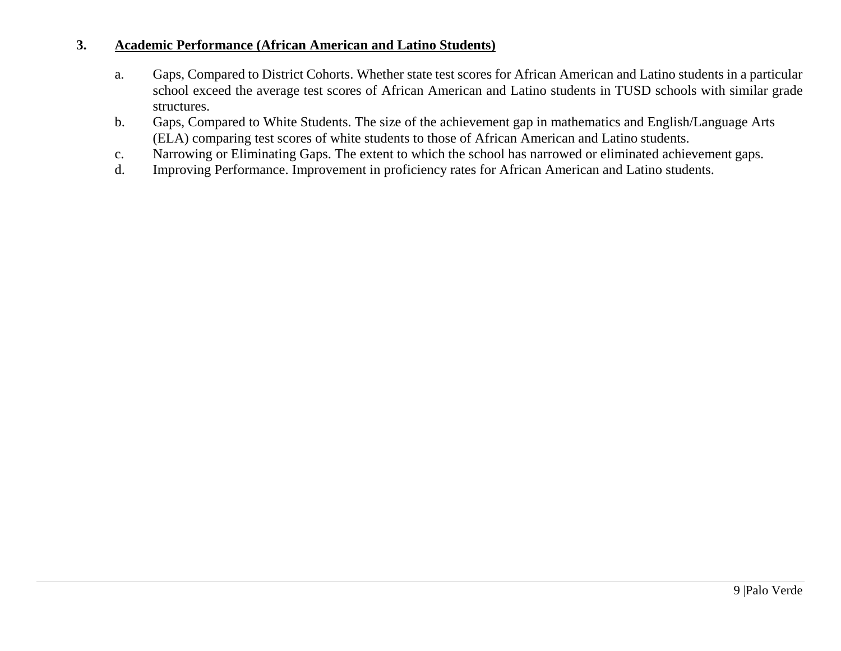#### **3. Academic Performance (African American and Latino Students)**

- a. Gaps, Compared to District Cohorts. Whether state test scores for African American and Latino students in a particular school exceed the average test scores of African American and Latino students in TUSD schools with similar grade structures.
- b. Gaps, Compared to White Students. The size of the achievement gap in mathematics and English/Language Arts (ELA) comparing test scores of white students to those of African American and Latino students.
- c. Narrowing or Eliminating Gaps. The extent to which the school has narrowed or eliminated achievement gaps.
- d. Improving Performance. Improvement in proficiency rates for African American and Latino students.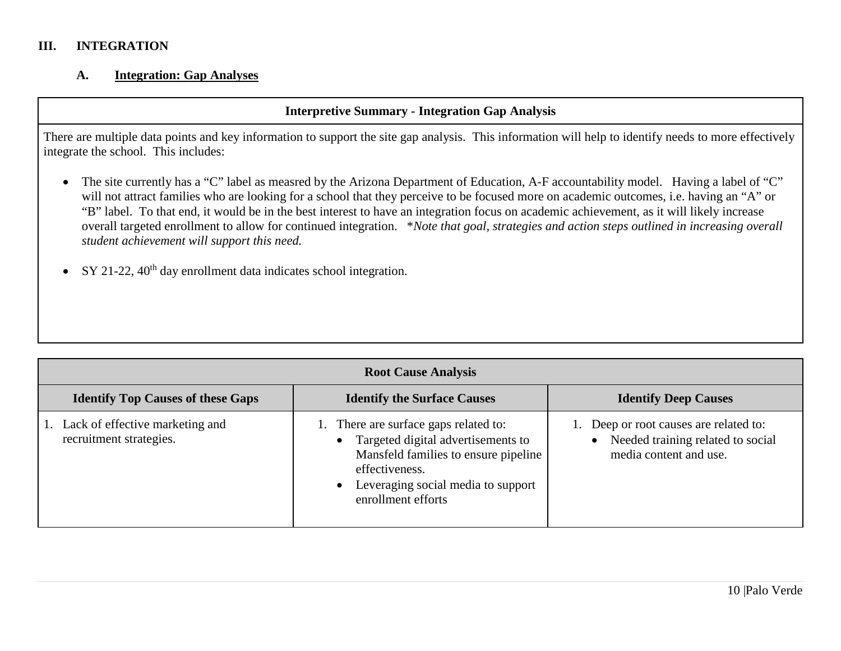#### **III. INTEGRATION**

#### **A. Integration: Gap Analyses**

#### **Interpretive Summary - Integration Gap Analysis**

There are multiple data points and key information to support the site gap analysis. This information will help to identify needs to more effectively integrate the school. This includes:

- The site currently has a "C" label as measred by the Arizona Department of Education, A-F accountability model. Having a label of "C" will not attract families who are looking for a school that they perceive to be focused more on academic outcomes, i.e. having an "A" or "B" label. To that end, it would be in the best interest to have an integration focus on academic achievement, as it will likely increase overall targeted enrollment to allow for continued integration. \**Note that goal, strategies and action steps outlined in increasing overall student achievement will support this need.*
- SY 21-22,  $40^{\text{th}}$  day enrollment data indicates school integration.

|                                                            | <b>Root Cause Analysis</b>                                                                                                                                                                            |                                                                                                         |  |  |  |  |  |  |  |  |
|------------------------------------------------------------|-------------------------------------------------------------------------------------------------------------------------------------------------------------------------------------------------------|---------------------------------------------------------------------------------------------------------|--|--|--|--|--|--|--|--|
| <b>Identify Top Causes of these Gaps</b>                   | <b>Identify the Surface Causes</b>                                                                                                                                                                    | <b>Identify Deep Causes</b>                                                                             |  |  |  |  |  |  |  |  |
| Lack of effective marketing and<br>recruitment strategies. | 1. There are surface gaps related to:<br>• Targeted digital advertisements to<br>Mansfeld families to ensure pipeline<br>effectiveness.<br>• Leveraging social media to support<br>enrollment efforts | 1. Deep or root causes are related to:<br>• Needed training related to social<br>media content and use. |  |  |  |  |  |  |  |  |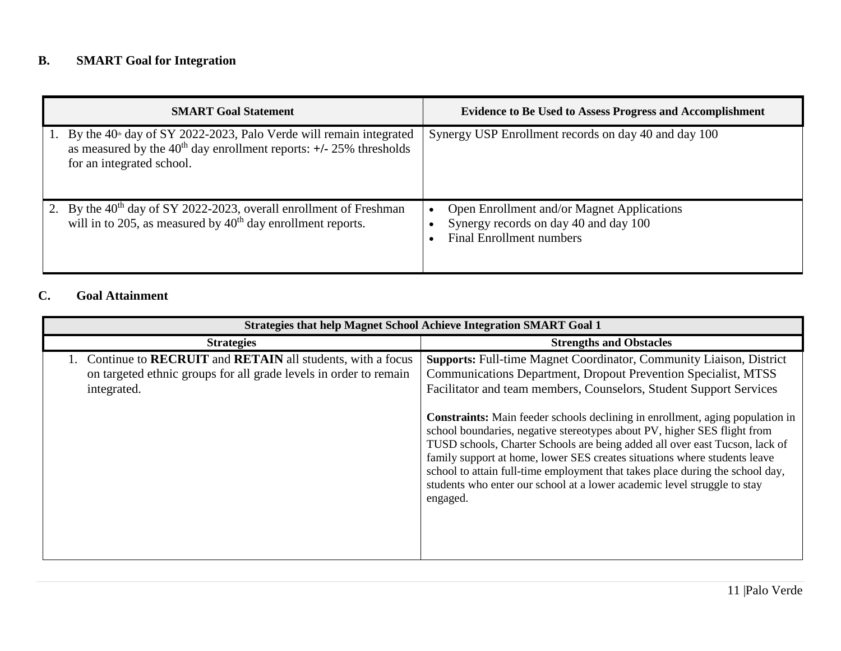# **B. SMART Goal for Integration**

| <b>SMART Goal Statement</b>                                                                                                                                                             | <b>Evidence to Be Used to Assess Progress and Accomplishment</b>                                                       |
|-----------------------------------------------------------------------------------------------------------------------------------------------------------------------------------------|------------------------------------------------------------------------------------------------------------------------|
| By the $40$ <sup>th</sup> day of SY 2022-2023, Palo Verde will remain integrated<br>as measured by the $40th$ day enrollment reports: $+/- 25%$ thresholds<br>for an integrated school. | Synergy USP Enrollment records on day 40 and day 100                                                                   |
| 2. By the 40 <sup>th</sup> day of SY 2022-2023, overall enrollment of Freshman<br>will in to 205, as measured by $40th$ day enrollment reports.                                         | Open Enrollment and/or Magnet Applications<br>Synergy records on day 40 and day 100<br><b>Final Enrollment numbers</b> |

# **C. Goal Attainment**

| <b>Strategies that help Magnet School Achieve Integration SMART Goal 1</b>                                                                                     |                                                                                                                                                                                                                                                                                                                                                                                                                                                                                                                                                                                                                                                                                                                             |  |  |  |  |
|----------------------------------------------------------------------------------------------------------------------------------------------------------------|-----------------------------------------------------------------------------------------------------------------------------------------------------------------------------------------------------------------------------------------------------------------------------------------------------------------------------------------------------------------------------------------------------------------------------------------------------------------------------------------------------------------------------------------------------------------------------------------------------------------------------------------------------------------------------------------------------------------------------|--|--|--|--|
| <b>Strategies</b>                                                                                                                                              | <b>Strengths and Obstacles</b>                                                                                                                                                                                                                                                                                                                                                                                                                                                                                                                                                                                                                                                                                              |  |  |  |  |
| 1. Continue to <b>RECRUIT</b> and <b>RETAIN</b> all students, with a focus<br>on targeted ethnic groups for all grade levels in order to remain<br>integrated. | <b>Supports: Full-time Magnet Coordinator, Community Liaison, District</b><br>Communications Department, Dropout Prevention Specialist, MTSS<br>Facilitator and team members, Counselors, Student Support Services<br><b>Constraints:</b> Main feeder schools declining in enrollment, aging population in<br>school boundaries, negative stereotypes about PV, higher SES flight from<br>TUSD schools, Charter Schools are being added all over east Tucson, lack of<br>family support at home, lower SES creates situations where students leave<br>school to attain full-time employment that takes place during the school day,<br>students who enter our school at a lower academic level struggle to stay<br>engaged. |  |  |  |  |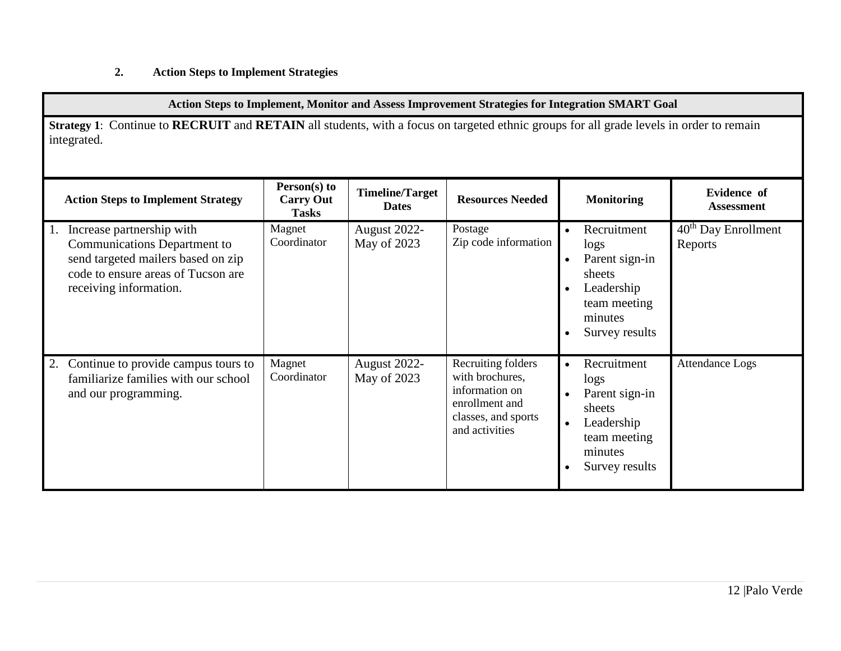# **2. Action Steps to Implement Strategies**

| Action Steps to Implement, Monitor and Assess Improvement Strategies for Integration SMART Goal                                                                 |                                                  |                                        |                                                                                                                    |                                                                                                                                                       |                                         |  |  |
|-----------------------------------------------------------------------------------------------------------------------------------------------------------------|--------------------------------------------------|----------------------------------------|--------------------------------------------------------------------------------------------------------------------|-------------------------------------------------------------------------------------------------------------------------------------------------------|-----------------------------------------|--|--|
| Strategy 1: Continue to RECRUIT and RETAIN all students, with a focus on targeted ethnic groups for all grade levels in order to remain<br>integrated.          |                                                  |                                        |                                                                                                                    |                                                                                                                                                       |                                         |  |  |
| <b>Action Steps to Implement Strategy</b>                                                                                                                       | Person(s) to<br><b>Carry Out</b><br><b>Tasks</b> | <b>Timeline/Target</b><br><b>Dates</b> | <b>Resources Needed</b>                                                                                            | <b>Monitoring</b>                                                                                                                                     | <b>Evidence</b> of<br><b>Assessment</b> |  |  |
| Increase partnership with<br>Communications Department to<br>send targeted mailers based on zip<br>code to ensure areas of Tucson are<br>receiving information. | Magnet<br>Coordinator                            | August 2022-<br>May of 2023            | Postage<br>Zip code information                                                                                    | Recruitment<br>logs<br>Parent sign-in<br>$\bullet$<br>sheets<br>Leadership<br>team meeting<br>minutes<br>Survey results                               | $40th$ Day Enrollment<br>Reports        |  |  |
| 2.<br>Continue to provide campus tours to<br>familiarize families with our school<br>and our programming.                                                       | Magnet<br>Coordinator                            | August 2022-<br>May of 2023            | Recruiting folders<br>with brochures,<br>information on<br>enrollment and<br>classes, and sports<br>and activities | Recruitment<br>$\bullet$<br>$\log s$<br>Parent sign-in<br>$\bullet$<br>sheets<br>Leadership<br>$\bullet$<br>team meeting<br>minutes<br>Survey results | <b>Attendance Logs</b>                  |  |  |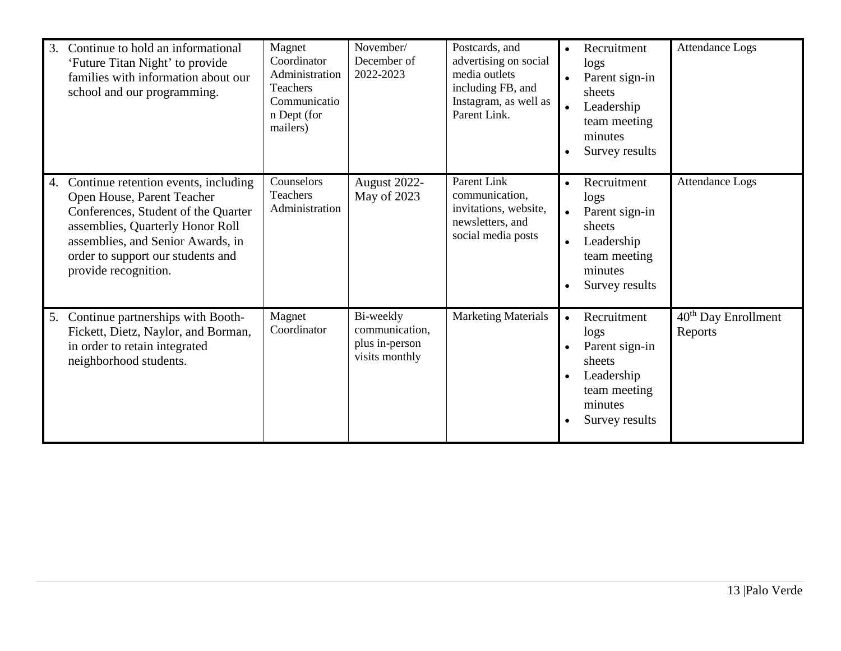| 3. | Continue to hold an informational<br>'Future Titan Night' to provide<br>families with information about our<br>school and our programming.                                                                                                      | Magnet<br>Coordinator<br>Administration<br><b>Teachers</b><br>Communicatio<br>n Dept (for<br>mailers) | November/<br>December of<br>2022-2023                           | Postcards, and<br>advertising on social<br>media outlets<br>including FB, and<br>Instagram, as well as<br>Parent Link. | Recruitment<br>$\bullet$<br>logs<br>Parent sign-in<br>$\bullet$<br>sheets<br>Leadership<br>$\bullet$<br>team meeting<br>minutes<br>Survey results<br>$\bullet$ | <b>Attendance Logs</b>           |
|----|-------------------------------------------------------------------------------------------------------------------------------------------------------------------------------------------------------------------------------------------------|-------------------------------------------------------------------------------------------------------|-----------------------------------------------------------------|------------------------------------------------------------------------------------------------------------------------|----------------------------------------------------------------------------------------------------------------------------------------------------------------|----------------------------------|
| 4. | Continue retention events, including<br>Open House, Parent Teacher<br>Conferences, Student of the Quarter<br>assemblies, Quarterly Honor Roll<br>assemblies, and Senior Awards, in<br>order to support our students and<br>provide recognition. | Counselors<br>Teachers<br>Administration                                                              | August 2022-<br>May of 2023                                     | Parent Link<br>communication,<br>invitations, website,<br>newsletters, and<br>social media posts                       | Recruitment<br>$\bullet$<br>logs<br>Parent sign-in<br>$\bullet$<br>sheets<br>Leadership<br>$\bullet$<br>team meeting<br>minutes<br>Survey results<br>$\bullet$ | <b>Attendance Logs</b>           |
| 5. | Continue partnerships with Booth-<br>Fickett, Dietz, Naylor, and Borman,<br>in order to retain integrated<br>neighborhood students.                                                                                                             | Magnet<br>Coordinator                                                                                 | Bi-weekly<br>communication,<br>plus in-person<br>visits monthly | <b>Marketing Materials</b>                                                                                             | Recruitment<br>$\bullet$<br>logs<br>Parent sign-in<br>$\bullet$<br>sheets<br>Leadership<br>$\bullet$<br>team meeting<br>minutes<br>Survey results<br>$\bullet$ | $40th$ Day Enrollment<br>Reports |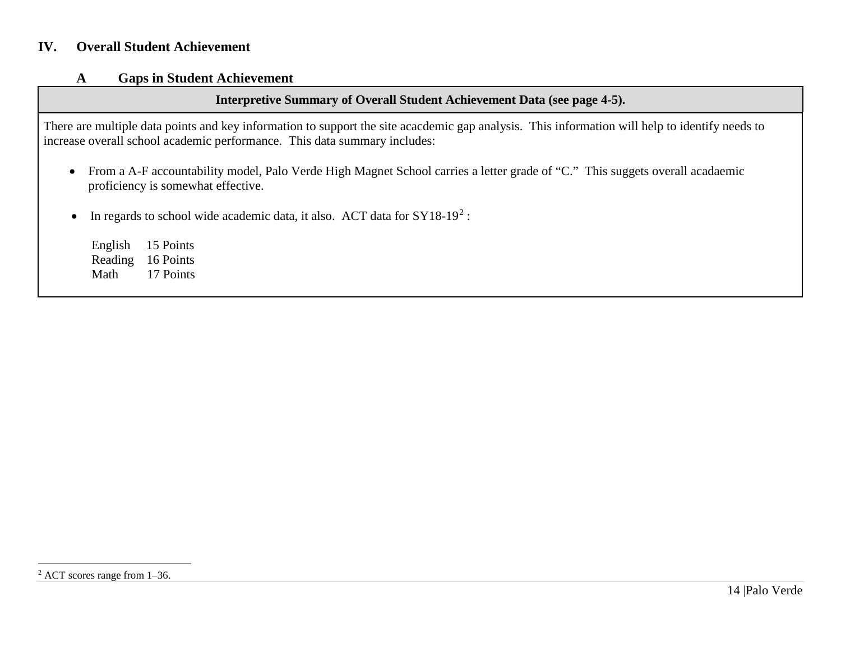## **IV. Overall Student Achievement**

#### **A Gaps in Student Achievement**

## <span id="page-14-0"></span>**Interpretive Summary of Overall Student Achievement Data (see page 4-5).**

There are multiple data points and key information to support the site acacdemic gap analysis. This information will help to identify needs to increase overall school academic performance. This data summary includes:

- From a A-F accountability model, Palo Verde High Magnet School carries a letter grade of "C." This suggets overall acadaemic proficiency is somewhat effective.
- In regards to school wide academic data, it also. ACT data for  $SY18-19^2$  $SY18-19^2$ :

English 15 Points Reading 16 Points Math 17 Points

 <sup>2</sup> ACT scores range from 1–36.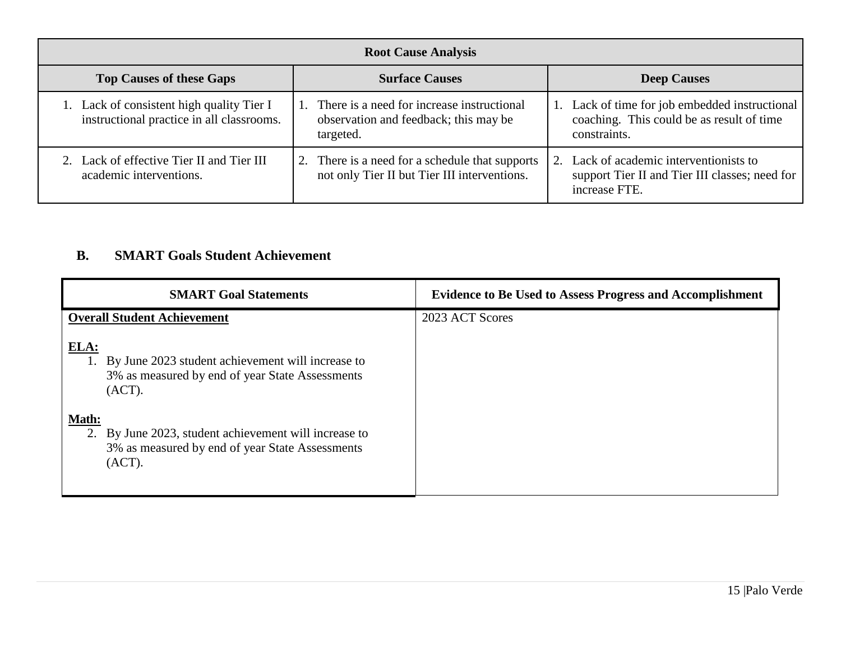| <b>Root Cause Analysis</b>                                                             |                                                                                                     |                                                                                                             |  |  |  |  |  |
|----------------------------------------------------------------------------------------|-----------------------------------------------------------------------------------------------------|-------------------------------------------------------------------------------------------------------------|--|--|--|--|--|
| <b>Top Causes of these Gaps</b>                                                        | <b>Surface Causes</b>                                                                               | <b>Deep Causes</b>                                                                                          |  |  |  |  |  |
| 1. Lack of consistent high quality Tier I<br>instructional practice in all classrooms. | 1. There is a need for increase instructional<br>observation and feedback; this may be<br>targeted. | 1. Lack of time for job embedded instructional<br>coaching. This could be as result of time<br>constraints. |  |  |  |  |  |
| 2. Lack of effective Tier II and Tier III<br>academic interventions.                   | 2. There is a need for a schedule that supports<br>not only Tier II but Tier III interventions.     | 2. Lack of academic interventionists to<br>support Tier II and Tier III classes; need for<br>increase FTE.  |  |  |  |  |  |

# **B. SMART Goals Student Achievement**

| <b>SMART Goal Statements</b>                                                                                                | <b>Evidence to Be Used to Assess Progress and Accomplishment</b> |
|-----------------------------------------------------------------------------------------------------------------------------|------------------------------------------------------------------|
| <b>Overall Student Achievement</b>                                                                                          | 2023 ACT Scores                                                  |
| ELA:<br>1. By June 2023 student achievement will increase to<br>3% as measured by end of year State Assessments<br>(ACT).   |                                                                  |
| Math:<br>2. By June 2023, student achievement will increase to<br>3% as measured by end of year State Assessments<br>(ACT). |                                                                  |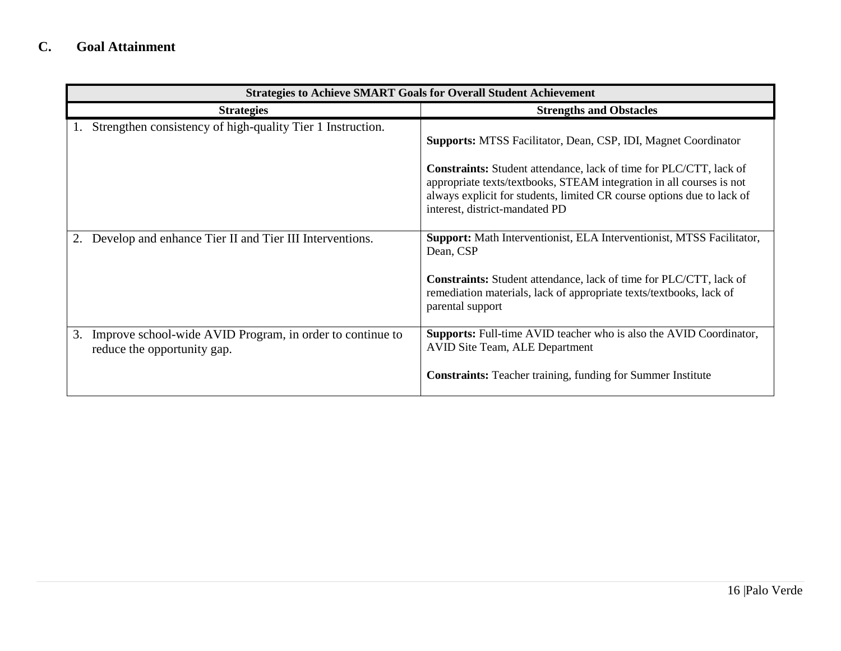# **C. Goal Attainment**

| <b>Strategies to Achieve SMART Goals for Overall Student Achievement</b>                       |                                                                                                                                                                                                                                                               |  |  |  |  |
|------------------------------------------------------------------------------------------------|---------------------------------------------------------------------------------------------------------------------------------------------------------------------------------------------------------------------------------------------------------------|--|--|--|--|
| <b>Strategies</b>                                                                              | <b>Strengths and Obstacles</b>                                                                                                                                                                                                                                |  |  |  |  |
| Strengthen consistency of high-quality Tier 1 Instruction.                                     | <b>Supports: MTSS Facilitator, Dean, CSP, IDI, Magnet Coordinator</b>                                                                                                                                                                                         |  |  |  |  |
|                                                                                                | <b>Constraints:</b> Student attendance, lack of time for PLC/CTT, lack of<br>appropriate texts/textbooks, STEAM integration in all courses is not<br>always explicit for students, limited CR course options due to lack of<br>interest, district-mandated PD |  |  |  |  |
| Develop and enhance Tier II and Tier III Interventions.                                        | Support: Math Interventionist, ELA Interventionist, MTSS Facilitator,<br>Dean, CSP<br><b>Constraints:</b> Student attendance, lack of time for PLC/CTT, lack of<br>remediation materials, lack of appropriate texts/textbooks, lack of<br>parental support    |  |  |  |  |
| Improve school-wide AVID Program, in order to continue to<br>3.<br>reduce the opportunity gap. | <b>Supports:</b> Full-time AVID teacher who is also the AVID Coordinator,<br><b>AVID Site Team, ALE Department</b><br><b>Constraints:</b> Teacher training, funding for Summer Institute                                                                      |  |  |  |  |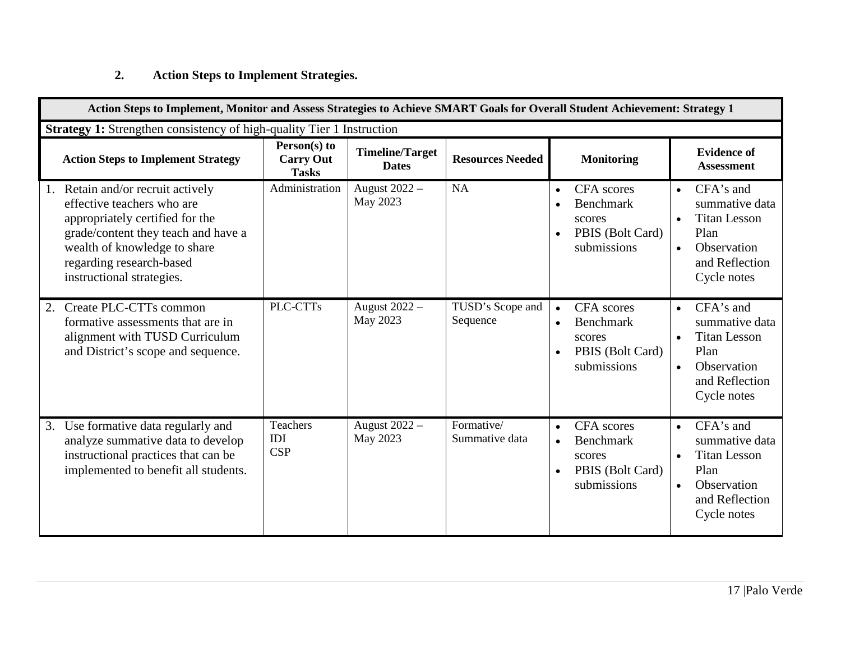# **2. Action Steps to Implement Strategies.**

| Action Steps to Implement, Monitor and Assess Strategies to Achieve SMART Goals for Overall Student Achievement: Strategy 1                                                                                                           |                                                  |                                        |                              |                                                                                                                           |                                                                                                                                                   |  |
|---------------------------------------------------------------------------------------------------------------------------------------------------------------------------------------------------------------------------------------|--------------------------------------------------|----------------------------------------|------------------------------|---------------------------------------------------------------------------------------------------------------------------|---------------------------------------------------------------------------------------------------------------------------------------------------|--|
| <b>Strategy 1:</b> Strengthen consistency of high-quality Tier 1 Instruction                                                                                                                                                          |                                                  |                                        |                              |                                                                                                                           |                                                                                                                                                   |  |
| <b>Action Steps to Implement Strategy</b>                                                                                                                                                                                             | Person(s) to<br><b>Carry Out</b><br><b>Tasks</b> | <b>Timeline/Target</b><br><b>Dates</b> | <b>Resources Needed</b>      | <b>Monitoring</b>                                                                                                         | <b>Evidence of</b><br><b>Assessment</b>                                                                                                           |  |
| Retain and/or recruit actively<br>1.<br>effective teachers who are<br>appropriately certified for the<br>grade/content they teach and have a<br>wealth of knowledge to share<br>regarding research-based<br>instructional strategies. | Administration                                   | August 2022 -<br>May 2023              | <b>NA</b>                    | <b>CFA</b> scores<br>$\bullet$<br>Benchmark<br>scores<br>PBIS (Bolt Card)<br>$\bullet$<br>submissions                     | CFA's and<br>$\bullet$<br>summative data<br><b>Titan Lesson</b><br>$\bullet$<br>Plan<br>Observation<br>$\bullet$<br>and Reflection<br>Cycle notes |  |
| Create PLC-CTTs common<br>2.<br>formative assessments that are in<br>alignment with TUSD Curriculum<br>and District's scope and sequence.                                                                                             | PLC-CTTs                                         | August 2022 -<br>May 2023              | TUSD's Scope and<br>Sequence | <b>CFA</b> scores<br>$\bullet$<br>Benchmark<br>$\bullet$<br>scores<br>PBIS (Bolt Card)<br>$\bullet$<br>submissions        | CFA's and<br>$\bullet$<br>summative data<br><b>Titan Lesson</b><br>$\bullet$<br>Plan<br>Observation<br>$\bullet$<br>and Reflection<br>Cycle notes |  |
| Use formative data regularly and<br>3.<br>analyze summative data to develop<br>instructional practices that can be<br>implemented to benefit all students.                                                                            | Teachers<br>IDI<br><b>CSP</b>                    | August 2022 -<br>May 2023              | Formative/<br>Summative data | <b>CFA</b> scores<br>$\bullet$<br><b>Benchmark</b><br>$\bullet$<br>scores<br>PBIS (Bolt Card)<br>$\bullet$<br>submissions | CFA's and<br>$\bullet$<br>summative data<br><b>Titan Lesson</b><br>$\bullet$<br>Plan<br>Observation<br>$\bullet$<br>and Reflection<br>Cycle notes |  |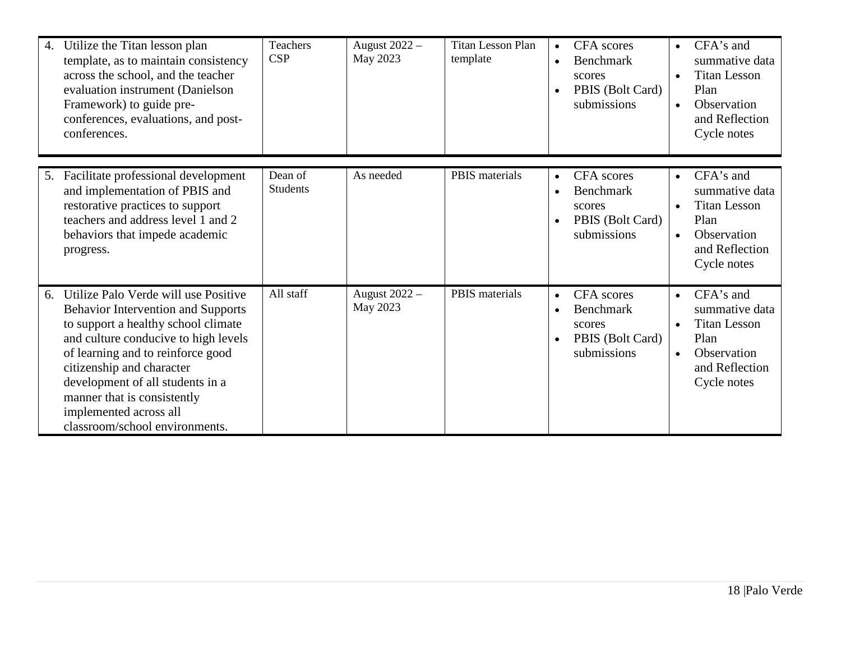| 4. | Utilize the Titan lesson plan<br>template, as to maintain consistency<br>across the school, and the teacher<br>evaluation instrument (Danielson<br>Framework) to guide pre-<br>conferences, evaluations, and post-<br>conferences.                                                                                                                                | <b>Teachers</b><br><b>CSP</b> | August 2022 -<br>May 2023 | <b>Titan Lesson Plan</b><br>template | <b>CFA</b> scores<br>Benchmark<br>$\bullet$<br>scores<br>PBIS (Bolt Card)<br>submissions | CFA's and<br>$\bullet$<br>summative data<br><b>Titan Lesson</b><br>$\bullet$<br>Plan<br>Observation<br>$\bullet$<br>and Reflection<br>Cycle notes |
|----|-------------------------------------------------------------------------------------------------------------------------------------------------------------------------------------------------------------------------------------------------------------------------------------------------------------------------------------------------------------------|-------------------------------|---------------------------|--------------------------------------|------------------------------------------------------------------------------------------|---------------------------------------------------------------------------------------------------------------------------------------------------|
| 5. | Facilitate professional development                                                                                                                                                                                                                                                                                                                               | Dean of                       | As needed                 | PBIS materials                       | <b>CFA</b> scores<br>$\bullet$                                                           | CFA's and<br>$\bullet$                                                                                                                            |
|    | and implementation of PBIS and<br>restorative practices to support<br>teachers and address level 1 and 2<br>behaviors that impede academic<br>progress.                                                                                                                                                                                                           | <b>Students</b>               |                           |                                      | Benchmark<br>scores<br>PBIS (Bolt Card)<br>submissions                                   | summative data<br><b>Titan Lesson</b><br>$\bullet$<br>Plan<br>Observation<br>$\bullet$<br>and Reflection<br>Cycle notes                           |
| 6. | Utilize Palo Verde will use Positive<br><b>Behavior Intervention and Supports</b><br>to support a healthy school climate<br>and culture conducive to high levels<br>of learning and to reinforce good<br>citizenship and character<br>development of all students in a<br>manner that is consistently<br>implemented across all<br>classroom/school environments. | All staff                     | August 2022 -<br>May 2023 | <b>PBIS</b> materials                | <b>CFA</b> scores<br>$\bullet$<br>Benchmark<br>scores<br>PBIS (Bolt Card)<br>submissions | CFA's and<br>$\bullet$<br>summative data<br><b>Titan Lesson</b><br>Plan<br>Observation<br>$\bullet$<br>and Reflection<br>Cycle notes              |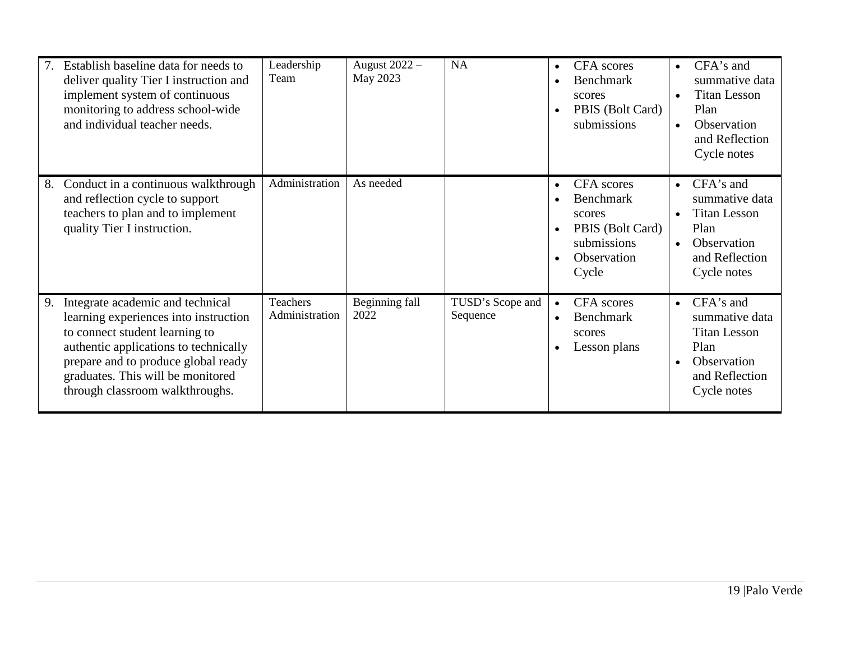| Establish baseline data for needs to<br>deliver quality Tier I instruction and<br>implement system of continuous<br>monitoring to address school-wide<br>and individual teacher needs.                                                                                    | Leadership<br>Team         | August 2022 -<br>May 2023 | <b>NA</b>                    | <b>CFA</b> scores<br>$\bullet$<br>Benchmark<br>scores<br>PBIS (Bolt Card)<br>submissions            | CFA's and<br>$\bullet$<br>summative data<br><b>Titan Lesson</b><br>$\bullet$<br>Plan<br>Observation<br>$\bullet$<br>and Reflection<br>Cycle notes |
|---------------------------------------------------------------------------------------------------------------------------------------------------------------------------------------------------------------------------------------------------------------------------|----------------------------|---------------------------|------------------------------|-----------------------------------------------------------------------------------------------------|---------------------------------------------------------------------------------------------------------------------------------------------------|
| Conduct in a continuous walkthrough<br>8.<br>and reflection cycle to support<br>teachers to plan and to implement<br>quality Tier I instruction.                                                                                                                          | Administration             | As needed                 |                              | CFA scores<br><b>Benchmark</b><br>scores<br>PBIS (Bolt Card)<br>submissions<br>Observation<br>Cycle | CFA's and<br>$\bullet$<br>summative data<br><b>Titan Lesson</b><br>$\bullet$<br>Plan<br>Observation<br>$\bullet$<br>and Reflection<br>Cycle notes |
| Integrate academic and technical<br>9.<br>learning experiences into instruction<br>to connect student learning to<br>authentic applications to technically<br>prepare and to produce global ready<br>graduates. This will be monitored<br>through classroom walkthroughs. | Teachers<br>Administration | Beginning fall<br>2022    | TUSD's Scope and<br>Sequence | CFA scores<br>$\bullet$<br>Benchmark<br>scores<br>Lesson plans                                      | CFA's and<br>$\bullet$<br>summative data<br><b>Titan Lesson</b><br>Plan<br>Observation<br>and Reflection<br>Cycle notes                           |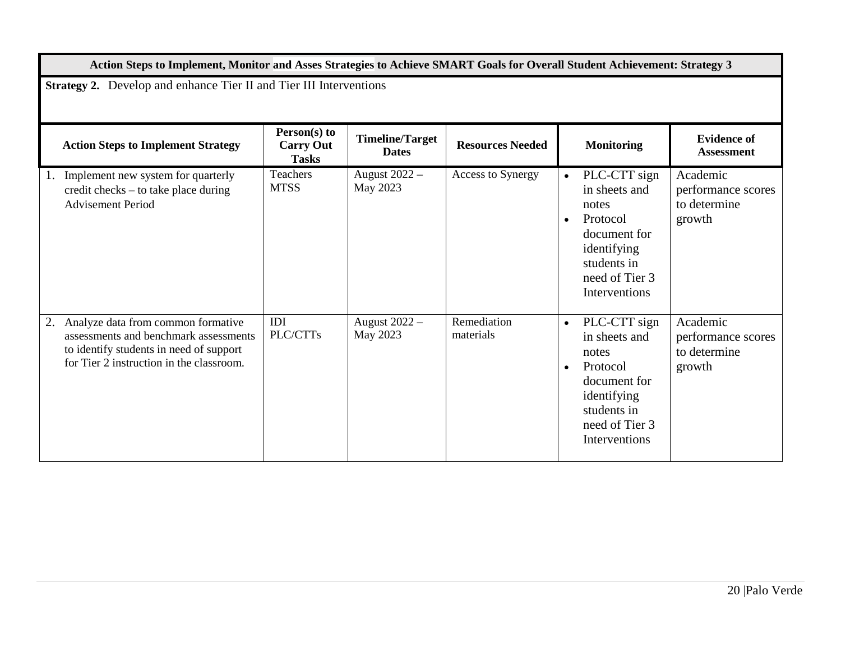|                | Action Steps to Implement, Monitor and Asses Strategies to Achieve SMART Goals for Overall Student Achievement: Strategy 3                                         |                                                  |                                        |                          |                                                                                                                                                               |                                                          |  |  |
|----------------|--------------------------------------------------------------------------------------------------------------------------------------------------------------------|--------------------------------------------------|----------------------------------------|--------------------------|---------------------------------------------------------------------------------------------------------------------------------------------------------------|----------------------------------------------------------|--|--|
|                | <b>Strategy 2.</b> Develop and enhance Tier II and Tier III Interventions                                                                                          |                                                  |                                        |                          |                                                                                                                                                               |                                                          |  |  |
|                | <b>Action Steps to Implement Strategy</b>                                                                                                                          | Person(s) to<br><b>Carry Out</b><br><b>Tasks</b> | <b>Timeline/Target</b><br><b>Dates</b> | <b>Resources Needed</b>  | <b>Monitoring</b>                                                                                                                                             | <b>Evidence of</b><br><b>Assessment</b>                  |  |  |
| $\mathbf{I}$ . | Implement new system for quarterly<br>credit checks – to take place during<br><b>Advisement Period</b>                                                             | Teachers<br><b>MTSS</b>                          | August 2022 -<br>May 2023              | <b>Access to Synergy</b> | PLC-CTT sign<br>$\bullet$<br>in sheets and<br>notes<br>Protocol<br>$\bullet$<br>document for<br>identifying<br>students in<br>need of Tier 3<br>Interventions | Academic<br>performance scores<br>to determine<br>growth |  |  |
| 2.             | Analyze data from common formative<br>assessments and benchmark assessments<br>to identify students in need of support<br>for Tier 2 instruction in the classroom. | IDI<br>PLC/CTTs                                  | August 2022 -<br>May 2023              | Remediation<br>materials | PLC-CTT sign<br>$\bullet$<br>in sheets and<br>notes<br>Protocol<br>$\bullet$<br>document for<br>identifying<br>students in<br>need of Tier 3<br>Interventions | Academic<br>performance scores<br>to determine<br>growth |  |  |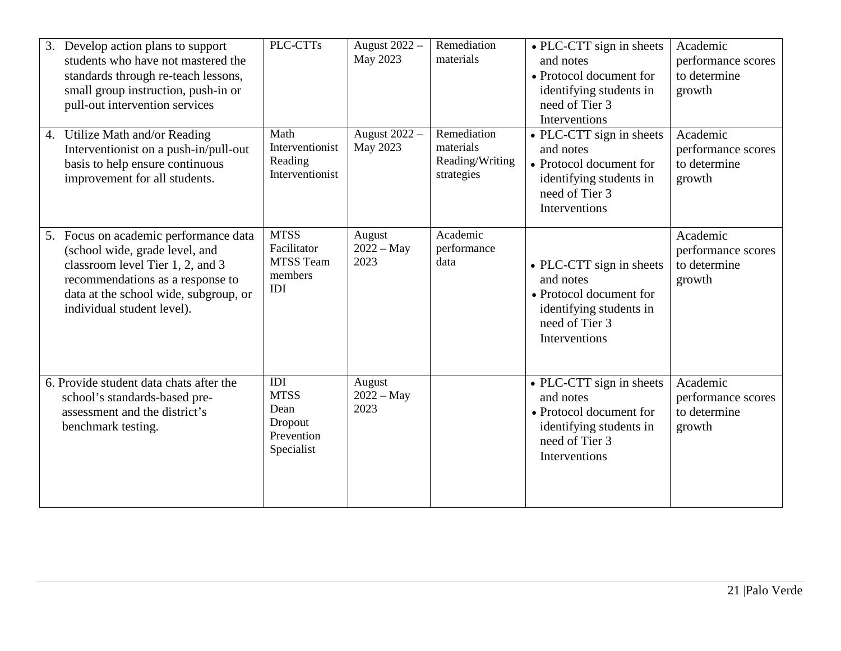| 3. Develop action plans to support<br>students who have not mastered the<br>standards through re-teach lessons,<br>small group instruction, push-in or<br>pull-out intervention services                               | PLC-CTTs                                                          | August 2022 -<br>May 2023      | Remediation<br>materials                                  | • PLC-CTT sign in sheets<br>and notes<br>• Protocol document for<br>identifying students in<br>need of Tier 3<br>Interventions | Academic<br>performance scores<br>to determine<br>growth |
|------------------------------------------------------------------------------------------------------------------------------------------------------------------------------------------------------------------------|-------------------------------------------------------------------|--------------------------------|-----------------------------------------------------------|--------------------------------------------------------------------------------------------------------------------------------|----------------------------------------------------------|
| Utilize Math and/or Reading<br>4.<br>Interventionist on a push-in/pull-out<br>basis to help ensure continuous<br>improvement for all students.                                                                         | Math<br>Interventionist<br>Reading<br>Interventionist             | August 2022 -<br>May 2023      | Remediation<br>materials<br>Reading/Writing<br>strategies | • PLC-CTT sign in sheets<br>and notes<br>• Protocol document for<br>identifying students in<br>need of Tier 3<br>Interventions | Academic<br>performance scores<br>to determine<br>growth |
| 5. Focus on academic performance data<br>(school wide, grade level, and<br>classroom level Tier 1, 2, and 3<br>recommendations as a response to<br>data at the school wide, subgroup, or<br>individual student level). | <b>MTSS</b><br>Facilitator<br>MTSS Team<br>members<br>IDI         | August<br>$2022 - May$<br>2023 | Academic<br>performance<br>data                           | • PLC-CTT sign in sheets<br>and notes<br>• Protocol document for<br>identifying students in<br>need of Tier 3<br>Interventions | Academic<br>performance scores<br>to determine<br>growth |
| 6. Provide student data chats after the<br>school's standards-based pre-<br>assessment and the district's<br>benchmark testing.                                                                                        | IDI<br><b>MTSS</b><br>Dean<br>Dropout<br>Prevention<br>Specialist | August<br>$2022 - May$<br>2023 |                                                           | • PLC-CTT sign in sheets<br>and notes<br>• Protocol document for<br>identifying students in<br>need of Tier 3<br>Interventions | Academic<br>performance scores<br>to determine<br>growth |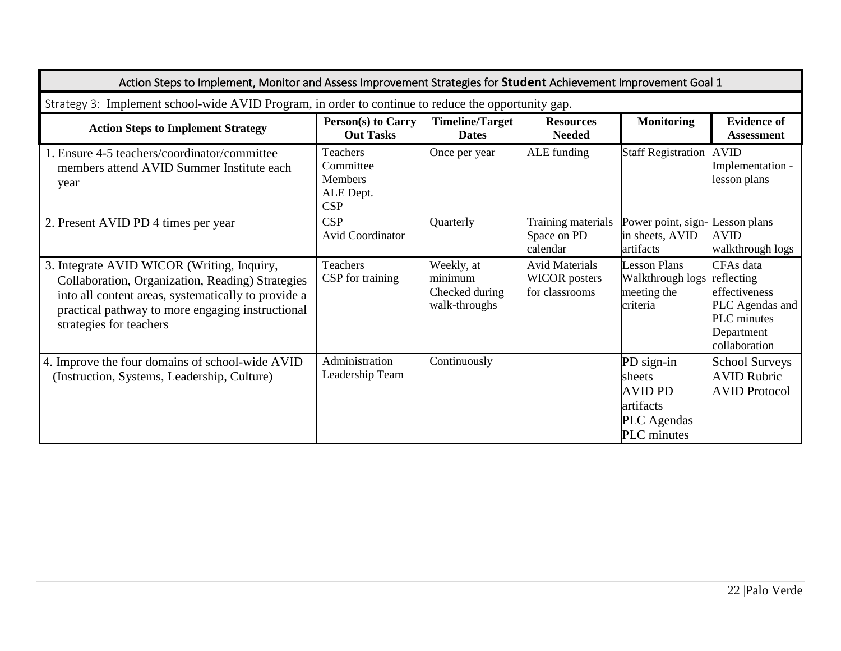| Action Steps to Implement, Monitor and Assess Improvement Strategies for Student Achievement Improvement Goal 1                                                                                                                      |                                                             |                                                          |                                                                 |                                                                                          |                                                                                                                  |  |  |  |
|--------------------------------------------------------------------------------------------------------------------------------------------------------------------------------------------------------------------------------------|-------------------------------------------------------------|----------------------------------------------------------|-----------------------------------------------------------------|------------------------------------------------------------------------------------------|------------------------------------------------------------------------------------------------------------------|--|--|--|
| Strategy 3: Implement school-wide AVID Program, in order to continue to reduce the opportunity gap.                                                                                                                                  |                                                             |                                                          |                                                                 |                                                                                          |                                                                                                                  |  |  |  |
| <b>Action Steps to Implement Strategy</b>                                                                                                                                                                                            | <b>Person(s) to Carry</b><br><b>Out Tasks</b>               | <b>Timeline/Target</b><br><b>Dates</b>                   | <b>Resources</b><br><b>Needed</b>                               | <b>Monitoring</b>                                                                        | <b>Evidence of</b><br><b>Assessment</b>                                                                          |  |  |  |
| 1. Ensure 4-5 teachers/coordinator/committee<br>members attend AVID Summer Institute each<br>year                                                                                                                                    | Teachers<br>Committee<br><b>Members</b><br>ALE Dept.<br>CSP | Once per year                                            | ALE funding                                                     | Staff Registration AVID                                                                  | Implementation -<br>lesson plans                                                                                 |  |  |  |
| 2. Present AVID PD 4 times per year                                                                                                                                                                                                  | CSP<br>Avid Coordinator                                     | Quarterly                                                | Training materials<br>Space on PD<br>calendar                   | Power point, sign-<br>in sheets, AVID<br>artifacts                                       | esson plans<br><b>AVID</b><br>walkthrough logs                                                                   |  |  |  |
| 3. Integrate AVID WICOR (Writing, Inquiry,<br>Collaboration, Organization, Reading) Strategies<br>into all content areas, systematically to provide a<br>practical pathway to more engaging instructional<br>strategies for teachers | <b>Teachers</b><br>CSP for training                         | Weekly, at<br>minimum<br>Checked during<br>walk-throughs | <b>Avid Materials</b><br><b>WICOR</b> posters<br>for classrooms | <b>Lesson Plans</b><br>Walkthrough logs<br>meeting the<br>criteria                       | CFAs data<br>reflecting<br>effectiveness<br>PLC Agendas and<br><b>PLC</b> minutes<br>Department<br>collaboration |  |  |  |
| 4. Improve the four domains of school-wide AVID<br>(Instruction, Systems, Leadership, Culture)                                                                                                                                       | Administration<br>Leadership Team                           | Continuously                                             |                                                                 | PD sign-in<br><b>sheets</b><br><b>AVID PD</b><br>artifacts<br>PLC Agendas<br>PLC minutes | <b>School Surveys</b><br><b>AVID Rubric</b><br><b>AVID Protocol</b>                                              |  |  |  |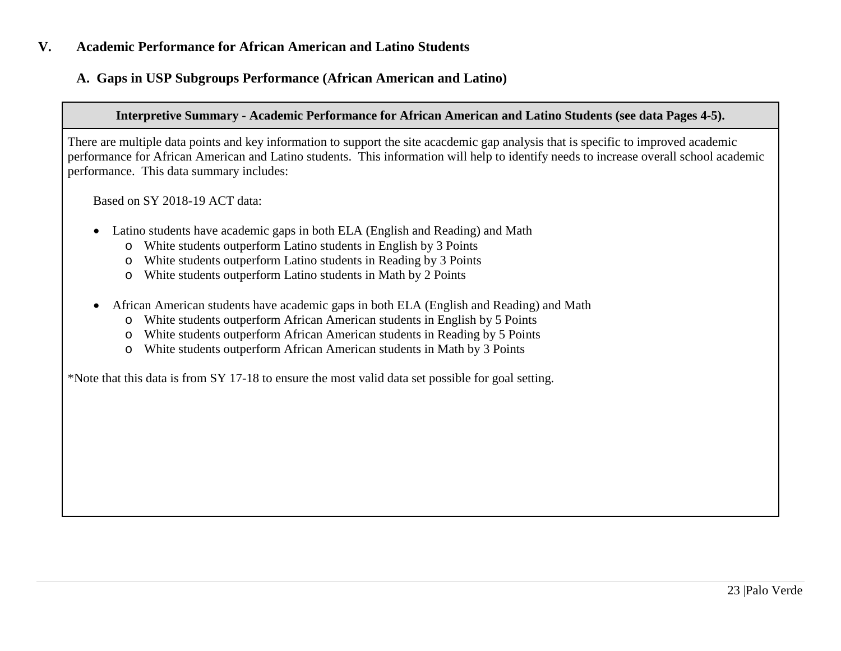#### **V. Academic Performance for African American and Latino Students**

### **A. Gaps in USP Subgroups Performance (African American and Latino)**

#### **Interpretive Summary - Academic Performance for African American and Latino Students (see data Pages 4-5).**

There are multiple data points and key information to support the site acacdemic gap analysis that is specific to improved academic performance for African American and Latino students. This information will help to identify needs to increase overall school academic performance. This data summary includes:

Based on SY 2018-19 ACT data:

- Latino students have academic gaps in both ELA (English and Reading) and Math
	- o White students outperform Latino students in English by 3 Points
	- o White students outperform Latino students in Reading by 3 Points
	- o White students outperform Latino students in Math by 2 Points
- African American students have academic gaps in both ELA (English and Reading) and Math
	- o White students outperform African American students in English by 5 Points
	- o White students outperform African American students in Reading by 5 Points
	- o White students outperform African American students in Math by 3 Points

\*Note that this data is from SY 17-18 to ensure the most valid data set possible for goal setting.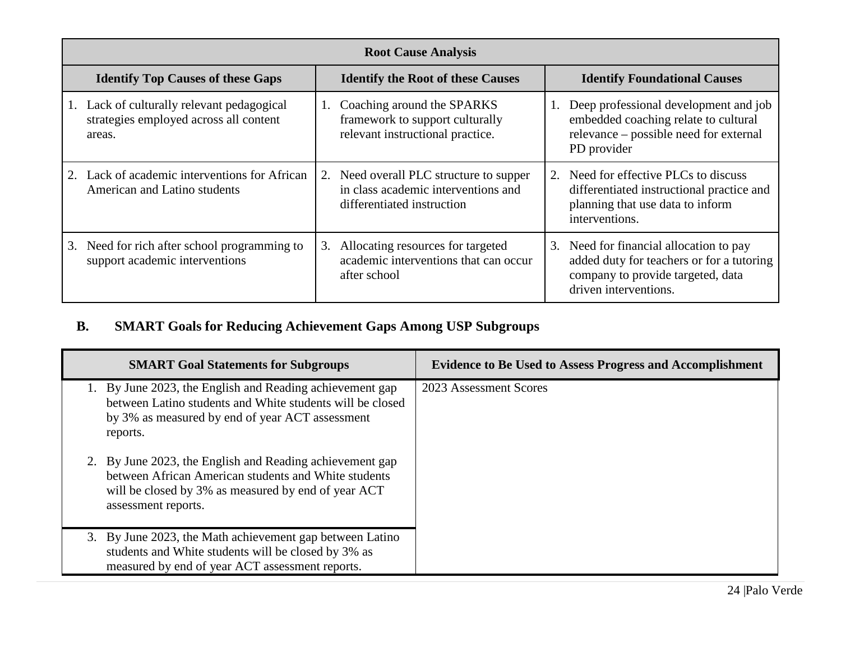| <b>Root Cause Analysis</b>                                                                     |    |                                                                                                              |    |                                                                                                                                                    |  |  |  |
|------------------------------------------------------------------------------------------------|----|--------------------------------------------------------------------------------------------------------------|----|----------------------------------------------------------------------------------------------------------------------------------------------------|--|--|--|
| <b>Identify Top Causes of these Gaps</b>                                                       |    | <b>Identify the Root of these Causes</b>                                                                     |    | <b>Identify Foundational Causes</b>                                                                                                                |  |  |  |
| 1. Lack of culturally relevant pedagogical<br>strategies employed across all content<br>areas. |    | 1. Coaching around the SPARKS<br>framework to support culturally<br>relevant instructional practice.         | 1. | Deep professional development and job<br>embedded coaching relate to cultural<br>relevance – possible need for external<br>PD provider             |  |  |  |
| 2. Lack of academic interventions for African<br>American and Latino students                  |    | 2. Need overall PLC structure to supper<br>in class academic interventions and<br>differentiated instruction |    | 2. Need for effective PLCs to discuss<br>differentiated instructional practice and<br>planning that use data to inform<br>interventions.           |  |  |  |
| Need for rich after school programming to<br>3.<br>support academic interventions              | 3. | Allocating resources for targeted<br>academic interventions that can occur<br>after school                   |    | 3. Need for financial allocation to pay<br>added duty for teachers or for a tutoring<br>company to provide targeted, data<br>driven interventions. |  |  |  |

# **B. SMART Goals for Reducing Achievement Gaps Among USP Subgroups**

| <b>SMART Goal Statements for Subgroups</b>                                                                                                                                                     | <b>Evidence to Be Used to Assess Progress and Accomplishment</b> |
|------------------------------------------------------------------------------------------------------------------------------------------------------------------------------------------------|------------------------------------------------------------------|
| 1. By June 2023, the English and Reading achievement gap<br>between Latino students and White students will be closed<br>by 3% as measured by end of year ACT assessment<br>reports.           | 2023 Assessment Scores                                           |
| 2. By June 2023, the English and Reading achievement gap<br>between African American students and White students<br>will be closed by 3% as measured by end of year ACT<br>assessment reports. |                                                                  |
| By June 2023, the Math achievement gap between Latino<br>3.<br>students and White students will be closed by 3% as<br>measured by end of year ACT assessment reports.                          |                                                                  |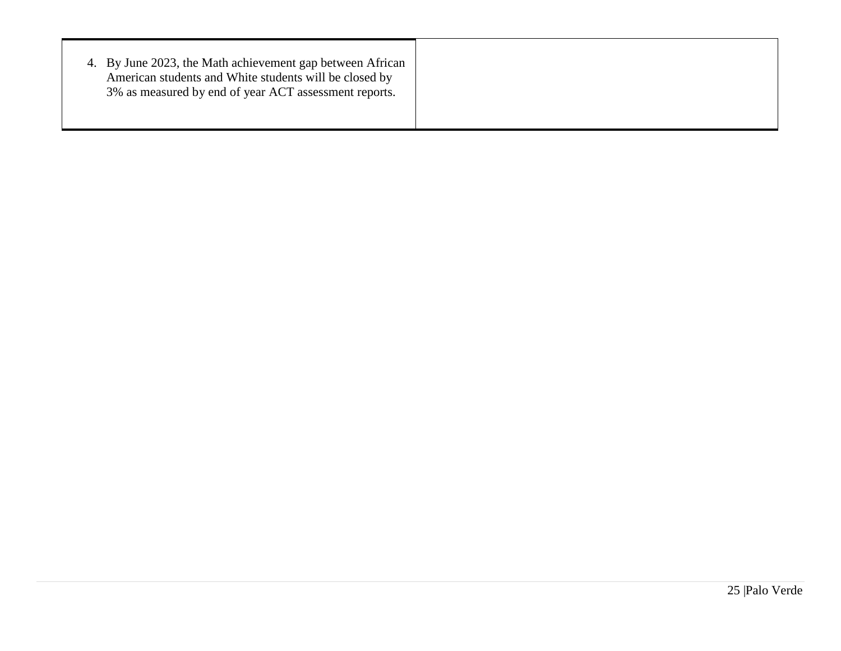| 4. By June 2023, the Math achievement gap between African |
|-----------------------------------------------------------|
|-----------------------------------------------------------|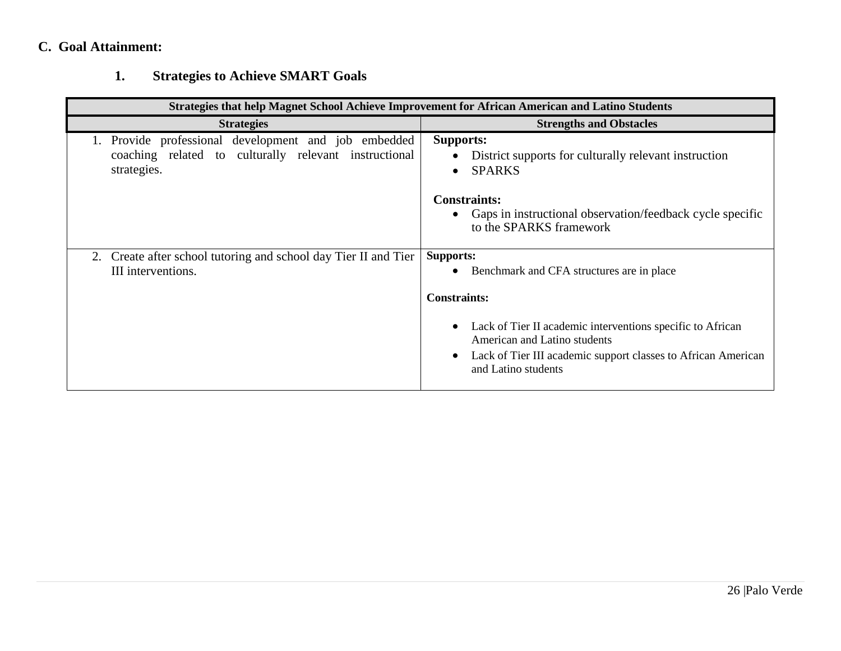# **C. Goal Attainment:**

# **1. Strategies to Achieve SMART Goals**

| Strategies that help Magnet School Achieve Improvement for African American and Latino Students                           |                                                                                                                                                                                    |  |  |  |  |  |
|---------------------------------------------------------------------------------------------------------------------------|------------------------------------------------------------------------------------------------------------------------------------------------------------------------------------|--|--|--|--|--|
| <b>Strategies</b>                                                                                                         | <b>Strengths and Obstacles</b>                                                                                                                                                     |  |  |  |  |  |
| Provide professional development and job embedded<br>coaching related to culturally relevant instructional<br>strategies. | <b>Supports:</b><br>District supports for culturally relevant instruction<br><b>SPARKS</b><br>$\bullet$                                                                            |  |  |  |  |  |
|                                                                                                                           | <b>Constraints:</b><br>Gaps in instructional observation/feedback cycle specific<br>to the SPARKS framework                                                                        |  |  |  |  |  |
| Create after school tutoring and school day Tier II and Tier<br>2.<br>III interventions.                                  | <b>Supports:</b><br>Benchmark and CFA structures are in place                                                                                                                      |  |  |  |  |  |
|                                                                                                                           | <b>Constraints:</b>                                                                                                                                                                |  |  |  |  |  |
|                                                                                                                           | Lack of Tier II academic interventions specific to African<br>American and Latino students<br>Lack of Tier III academic support classes to African American<br>and Latino students |  |  |  |  |  |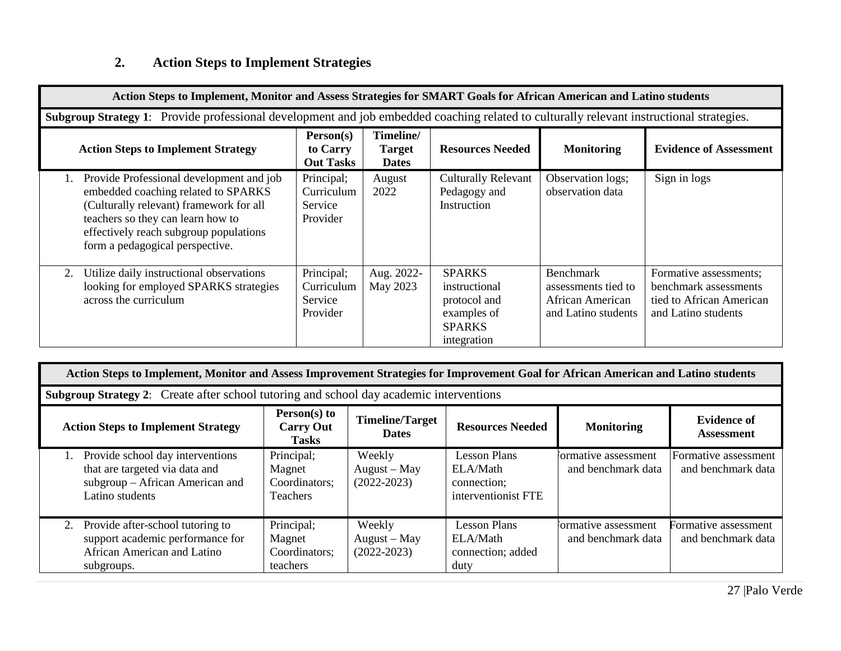# **2. Action Steps to Implement Strategies**

| Action Steps to Implement, Monitor and Assess Strategies for SMART Goals for African American and Latino students                                                                                                                            |                                                 |                                            |                                                                                               |                                                                                    |                                                                                                    |  |  |
|----------------------------------------------------------------------------------------------------------------------------------------------------------------------------------------------------------------------------------------------|-------------------------------------------------|--------------------------------------------|-----------------------------------------------------------------------------------------------|------------------------------------------------------------------------------------|----------------------------------------------------------------------------------------------------|--|--|
| Subgroup Strategy 1: Provide professional development and job embedded coaching related to culturally relevant instructional strategies.                                                                                                     |                                                 |                                            |                                                                                               |                                                                                    |                                                                                                    |  |  |
| <b>Action Steps to Implement Strategy</b>                                                                                                                                                                                                    | Person(s)<br>to Carry<br><b>Out Tasks</b>       | Timeline/<br><b>Target</b><br><b>Dates</b> | <b>Resources Needed</b>                                                                       | <b>Monitoring</b>                                                                  | <b>Evidence of Assessment</b>                                                                      |  |  |
| Provide Professional development and job<br>embedded coaching related to SPARKS<br>(Culturally relevant) framework for all<br>teachers so they can learn how to<br>effectively reach subgroup populations<br>form a pedagogical perspective. | Principal;<br>Curriculum<br>Service<br>Provider | August<br>2022                             | <b>Culturally Relevant</b><br>Pedagogy and<br>Instruction                                     | Observation logs;<br>observation data                                              | Sign in logs                                                                                       |  |  |
| Utilize daily instructional observations<br>2.<br>looking for employed SPARKS strategies<br>across the curriculum                                                                                                                            | Principal;<br>Curriculum<br>Service<br>Provider | Aug. 2022-<br>May 2023                     | <b>SPARKS</b><br>instructional<br>protocol and<br>examples of<br><b>SPARKS</b><br>integration | <b>Benchmark</b><br>assessments tied to<br>African American<br>and Latino students | Formative assessments;<br>benchmark assessments<br>tied to African American<br>and Latino students |  |  |

| Action Steps to Implement, Monitor and Assess Improvement Strategies for Improvement Goal for African American and Latino students |                                                   |                                             |                                                                       |                                            |                                            |  |  |
|------------------------------------------------------------------------------------------------------------------------------------|---------------------------------------------------|---------------------------------------------|-----------------------------------------------------------------------|--------------------------------------------|--------------------------------------------|--|--|
| Subgroup Strategy 2: Create after school tutoring and school day academic interventions                                            |                                                   |                                             |                                                                       |                                            |                                            |  |  |
| <b>Action Steps to Implement Strategy</b>                                                                                          | Person(s) to<br><b>Carry Out</b><br><b>Tasks</b>  | <b>Timeline/Target</b><br><b>Dates</b>      | <b>Resources Needed</b>                                               | <b>Monitoring</b>                          | <b>Evidence of</b><br>Assessment           |  |  |
| Provide school day interventions<br>that are targeted via data and<br>subgroup – African American and<br>Latino students           | Principal;<br>Magnet<br>Coordinators;<br>Teachers | Weekly<br>$August - May$<br>$(2022 - 2023)$ | <b>Lesson Plans</b><br>ELA/Math<br>connection;<br>interventionist FTE | formative assessment<br>and benchmark data | Formative assessment<br>and benchmark data |  |  |
| 2. Provide after-school tutoring to<br>support academic performance for<br>African American and Latino<br>subgroups.               | Principal;<br>Magnet<br>Coordinators;<br>teachers | Weekly<br>August - May<br>$(2022 - 2023)$   | <b>Lesson Plans</b><br>ELA/Math<br>connection; added<br>duty          | Formative assessment<br>and benchmark data | Formative assessment<br>and benchmark data |  |  |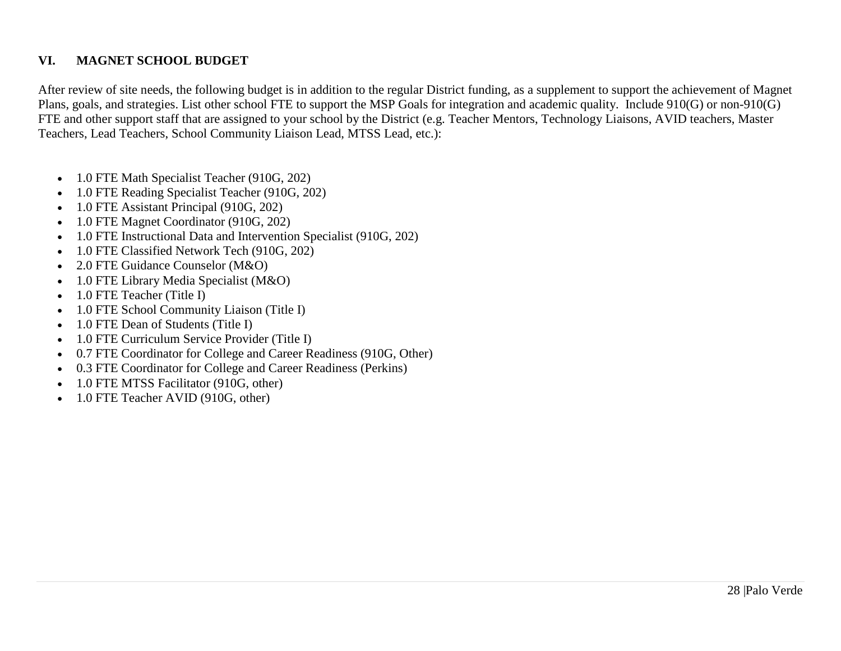#### **VI. MAGNET SCHOOL BUDGET**

After review of site needs, the following budget is in addition to the regular District funding, as a supplement to support the achievement of Magnet Plans, goals, and strategies. List other school FTE to support the MSP Goals for integration and academic quality. Include 910(G) or non-910(G) FTE and other support staff that are assigned to your school by the District (e.g. Teacher Mentors, Technology Liaisons, AVID teachers, Master Teachers, Lead Teachers, School Community Liaison Lead, MTSS Lead, etc.):

- 1.0 FTE Math Specialist Teacher (910G, 202)
- 1.0 FTE Reading Specialist Teacher (910G, 202)
- 1.0 FTE Assistant Principal (910G, 202)
- 1.0 FTE Magnet Coordinator (910G, 202)
- 1.0 FTE Instructional Data and Intervention Specialist (910G, 202)
- 1.0 FTE Classified Network Tech (910G, 202)
- 2.0 FTE Guidance Counselor (M&O)
- 1.0 FTE Library Media Specialist (M&O)
- 1.0 FTE Teacher (Title I)
- 1.0 FTE School Community Liaison (Title I)
- 1.0 FTE Dean of Students (Title I)
- 1.0 FTE Curriculum Service Provider (Title I)
- 0.7 FTE Coordinator for College and Career Readiness (910G, Other)
- 0.3 FTE Coordinator for College and Career Readiness (Perkins)
- 1.0 FTE MTSS Facilitator (910G, other)
- 1.0 FTE Teacher AVID (910G, other)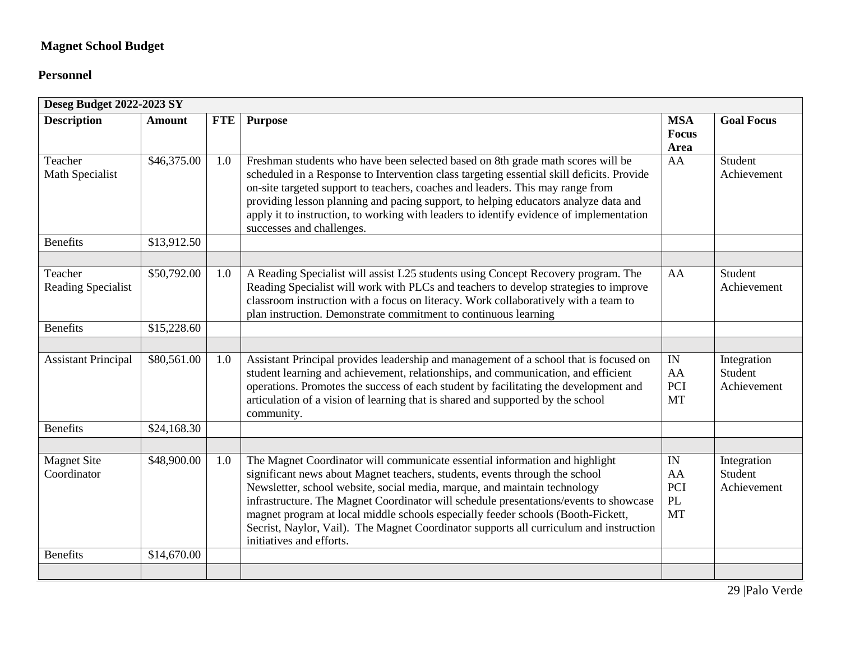# **Magnet School Budget**

# **Personnel**

|                                   | <b>Deseg Budget 2022-2023 SY</b> |            |                                                                                                                                                                                                                                                                                                                                                                                                                                                                                                                                            |                                                    |                                       |  |
|-----------------------------------|----------------------------------|------------|--------------------------------------------------------------------------------------------------------------------------------------------------------------------------------------------------------------------------------------------------------------------------------------------------------------------------------------------------------------------------------------------------------------------------------------------------------------------------------------------------------------------------------------------|----------------------------------------------------|---------------------------------------|--|
| <b>Description</b>                | Amount                           | <b>FTE</b> | <b>Purpose</b>                                                                                                                                                                                                                                                                                                                                                                                                                                                                                                                             | <b>MSA</b><br><b>Focus</b><br>Area                 | <b>Goal Focus</b>                     |  |
| Teacher<br>Math Specialist        | \$46,375.00                      | 1.0        | Freshman students who have been selected based on 8th grade math scores will be<br>scheduled in a Response to Intervention class targeting essential skill deficits. Provide<br>on-site targeted support to teachers, coaches and leaders. This may range from<br>providing lesson planning and pacing support, to helping educators analyze data and<br>apply it to instruction, to working with leaders to identify evidence of implementation<br>successes and challenges.                                                              | AA                                                 | Student<br>Achievement                |  |
| <b>Benefits</b>                   | \$13,912.50                      |            |                                                                                                                                                                                                                                                                                                                                                                                                                                                                                                                                            |                                                    |                                       |  |
| Teacher<br>Reading Specialist     | \$50,792.00                      | 1.0        | A Reading Specialist will assist L25 students using Concept Recovery program. The<br>Reading Specialist will work with PLCs and teachers to develop strategies to improve<br>classroom instruction with a focus on literacy. Work collaboratively with a team to<br>plan instruction. Demonstrate commitment to continuous learning                                                                                                                                                                                                        | AA                                                 | Student<br>Achievement                |  |
| <b>Benefits</b>                   | \$15,228.60                      |            |                                                                                                                                                                                                                                                                                                                                                                                                                                                                                                                                            |                                                    |                                       |  |
|                                   |                                  |            |                                                                                                                                                                                                                                                                                                                                                                                                                                                                                                                                            |                                                    |                                       |  |
| <b>Assistant Principal</b>        | \$80,561.00                      | 1.0        | Assistant Principal provides leadership and management of a school that is focused on<br>student learning and achievement, relationships, and communication, and efficient<br>operations. Promotes the success of each student by facilitating the development and<br>articulation of a vision of learning that is shared and supported by the school<br>community.                                                                                                                                                                        | $\ensuremath{\text{IN}}$<br>AA<br>PCI<br><b>MT</b> | Integration<br>Student<br>Achievement |  |
| <b>Benefits</b>                   | \$24,168.30                      |            |                                                                                                                                                                                                                                                                                                                                                                                                                                                                                                                                            |                                                    |                                       |  |
|                                   |                                  |            |                                                                                                                                                                                                                                                                                                                                                                                                                                                                                                                                            |                                                    |                                       |  |
| <b>Magnet Site</b><br>Coordinator | \$48,900.00                      | 1.0        | The Magnet Coordinator will communicate essential information and highlight<br>significant news about Magnet teachers, students, events through the school<br>Newsletter, school website, social media, marque, and maintain technology<br>infrastructure. The Magnet Coordinator will schedule presentations/events to showcase<br>magnet program at local middle schools especially feeder schools (Booth-Fickett,<br>Secrist, Naylor, Vail). The Magnet Coordinator supports all curriculum and instruction<br>initiatives and efforts. | IN<br>AA<br>PCI<br>PL<br><b>MT</b>                 | Integration<br>Student<br>Achievement |  |
| <b>Benefits</b>                   | \$14,670.00                      |            |                                                                                                                                                                                                                                                                                                                                                                                                                                                                                                                                            |                                                    |                                       |  |
|                                   |                                  |            |                                                                                                                                                                                                                                                                                                                                                                                                                                                                                                                                            |                                                    |                                       |  |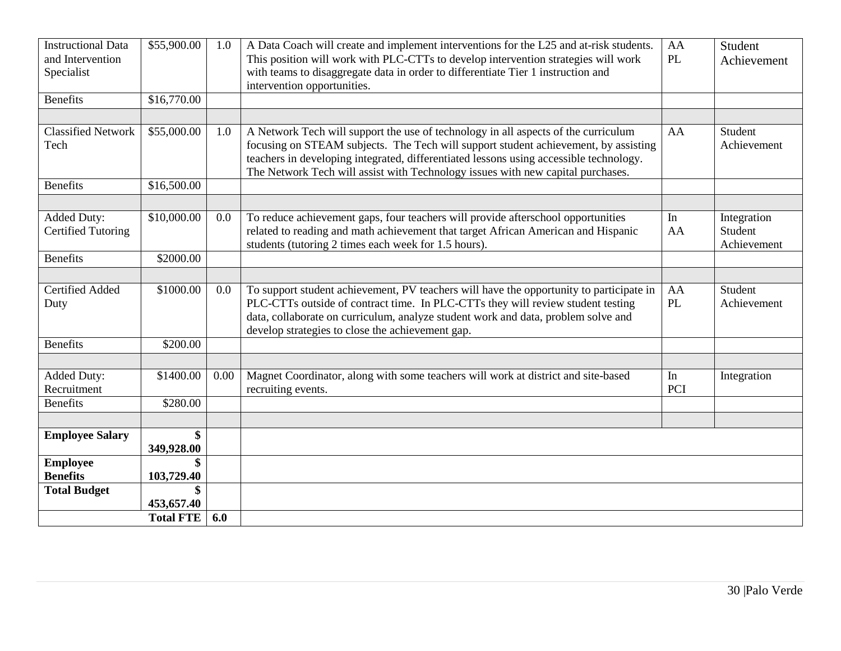| <b>Instructional Data</b><br>and Intervention<br>Specialist | \$55,900.00      | 1.0  | A Data Coach will create and implement interventions for the L25 and at-risk students.<br>This position will work with PLC-CTTs to develop intervention strategies will work<br>with teams to disaggregate data in order to differentiate Tier 1 instruction and                                                                                       | AA<br>PL         | Student<br>Achievement                |
|-------------------------------------------------------------|------------------|------|--------------------------------------------------------------------------------------------------------------------------------------------------------------------------------------------------------------------------------------------------------------------------------------------------------------------------------------------------------|------------------|---------------------------------------|
|                                                             |                  |      | intervention opportunities.                                                                                                                                                                                                                                                                                                                            |                  |                                       |
| <b>Benefits</b>                                             | \$16,770.00      |      |                                                                                                                                                                                                                                                                                                                                                        |                  |                                       |
|                                                             |                  |      |                                                                                                                                                                                                                                                                                                                                                        |                  |                                       |
| <b>Classified Network</b><br>Tech                           | \$55,000.00      | 1.0  | A Network Tech will support the use of technology in all aspects of the curriculum<br>focusing on STEAM subjects. The Tech will support student achievement, by assisting<br>teachers in developing integrated, differentiated lessons using accessible technology.<br>The Network Tech will assist with Technology issues with new capital purchases. | AA               | Student<br>Achievement                |
| <b>Benefits</b>                                             | \$16,500.00      |      |                                                                                                                                                                                                                                                                                                                                                        |                  |                                       |
|                                                             |                  |      |                                                                                                                                                                                                                                                                                                                                                        |                  |                                       |
| Added Duty:<br><b>Certified Tutoring</b>                    | \$10,000.00      | 0.0  | To reduce achievement gaps, four teachers will provide afterschool opportunities<br>related to reading and math achievement that target African American and Hispanic<br>students (tutoring 2 times each week for 1.5 hours).                                                                                                                          | In<br>AA         | Integration<br>Student<br>Achievement |
| <b>Benefits</b>                                             | \$2000.00        |      |                                                                                                                                                                                                                                                                                                                                                        |                  |                                       |
|                                                             |                  |      |                                                                                                                                                                                                                                                                                                                                                        |                  |                                       |
| Certified Added<br>Duty                                     | \$1000.00        | 0.0  | To support student achievement, PV teachers will have the opportunity to participate in<br>PLC-CTTs outside of contract time. In PLC-CTTs they will review student testing<br>data, collaborate on curriculum, analyze student work and data, problem solve and<br>develop strategies to close the achievement gap.                                    | AA<br>PL         | Student<br>Achievement                |
| <b>Benefits</b>                                             | \$200.00         |      |                                                                                                                                                                                                                                                                                                                                                        |                  |                                       |
|                                                             |                  |      |                                                                                                                                                                                                                                                                                                                                                        |                  |                                       |
| Added Duty:<br>Recruitment                                  | \$1400.00        | 0.00 | Magnet Coordinator, along with some teachers will work at district and site-based<br>recruiting events.                                                                                                                                                                                                                                                | In<br><b>PCI</b> | Integration                           |
| <b>Benefits</b>                                             | \$280.00         |      |                                                                                                                                                                                                                                                                                                                                                        |                  |                                       |
|                                                             |                  |      |                                                                                                                                                                                                                                                                                                                                                        |                  |                                       |
| <b>Employee Salary</b>                                      | \$<br>349,928.00 |      |                                                                                                                                                                                                                                                                                                                                                        |                  |                                       |
| <b>Employee</b><br><b>Benefits</b>                          | \$<br>103,729.40 |      |                                                                                                                                                                                                                                                                                                                                                        |                  |                                       |
| <b>Total Budget</b>                                         | \$<br>453,657.40 |      |                                                                                                                                                                                                                                                                                                                                                        |                  |                                       |
|                                                             | <b>Total FTE</b> | 6.0  |                                                                                                                                                                                                                                                                                                                                                        |                  |                                       |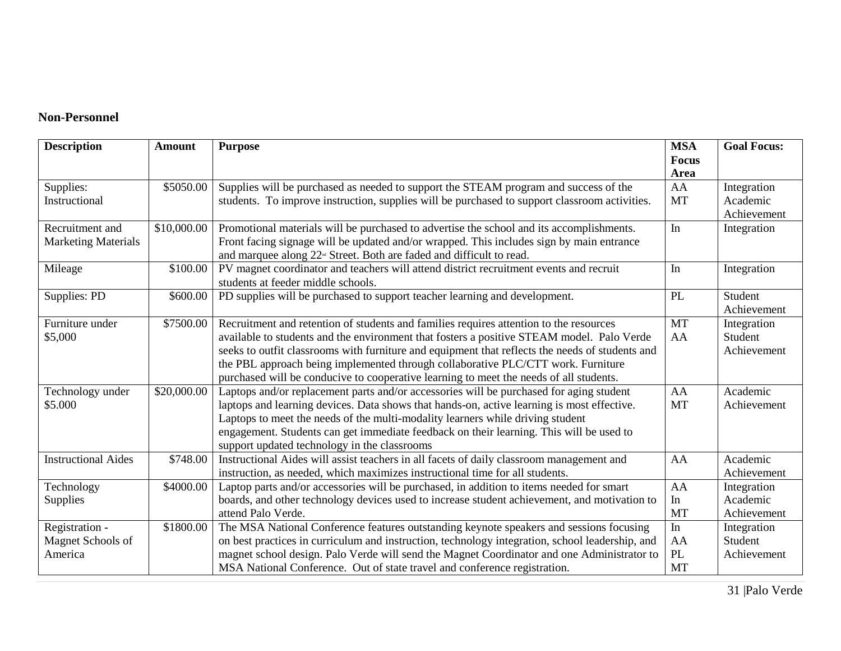# **Non-Personnel**

| <b>Description</b>         | <b>Amount</b> | <b>Purpose</b>                                                                                  | <b>MSA</b><br><b>Focus</b> | <b>Goal Focus:</b> |
|----------------------------|---------------|-------------------------------------------------------------------------------------------------|----------------------------|--------------------|
|                            |               |                                                                                                 | Area                       |                    |
| Supplies:                  | \$5050.00     | Supplies will be purchased as needed to support the STEAM program and success of the            | AA                         | Integration        |
| Instructional              |               | students. To improve instruction, supplies will be purchased to support classroom activities.   | <b>MT</b>                  | Academic           |
|                            |               |                                                                                                 |                            | Achievement        |
| Recruitment and            | \$10,000.00   | Promotional materials will be purchased to advertise the school and its accomplishments.        | In                         | Integration        |
| <b>Marketing Materials</b> |               | Front facing signage will be updated and/or wrapped. This includes sign by main entrance        |                            |                    |
|                            |               | and marquee along 22 <sup>nd</sup> Street. Both are faded and difficult to read.                |                            |                    |
| Mileage                    | \$100.00      | PV magnet coordinator and teachers will attend district recruitment events and recruit          | In                         | Integration        |
|                            |               | students at feeder middle schools.                                                              |                            |                    |
| Supplies: PD               | \$600.00      | PD supplies will be purchased to support teacher learning and development.                      | PL                         | Student            |
|                            |               |                                                                                                 |                            | Achievement        |
| Furniture under            | \$7500.00     | Recruitment and retention of students and families requires attention to the resources          | <b>MT</b>                  | Integration        |
| \$5,000                    |               | available to students and the environment that fosters a positive STEAM model. Palo Verde       | AA                         | Student            |
|                            |               | seeks to outfit classrooms with furniture and equipment that reflects the needs of students and |                            | Achievement        |
|                            |               | the PBL approach being implemented through collaborative PLC/CTT work. Furniture                |                            |                    |
|                            |               | purchased will be conducive to cooperative learning to meet the needs of all students.          |                            |                    |
| Technology under           | \$20,000.00   | Laptops and/or replacement parts and/or accessories will be purchased for aging student         | AA                         | Academic           |
| \$5.000                    |               | laptops and learning devices. Data shows that hands-on, active learning is most effective.      | <b>MT</b>                  | Achievement        |
|                            |               | Laptops to meet the needs of the multi-modality learners while driving student                  |                            |                    |
|                            |               | engagement. Students can get immediate feedback on their learning. This will be used to         |                            |                    |
|                            |               | support updated technology in the classrooms                                                    |                            |                    |
| <b>Instructional Aides</b> | \$748.00      | Instructional Aides will assist teachers in all facets of daily classroom management and        | AA                         | Academic           |
|                            |               | instruction, as needed, which maximizes instructional time for all students.                    |                            | Achievement        |
| Technology                 | \$4000.00     | Laptop parts and/or accessories will be purchased, in addition to items needed for smart        | AA                         | Integration        |
| <b>Supplies</b>            |               | boards, and other technology devices used to increase student achievement, and motivation to    | In                         | Academic           |
|                            |               | attend Palo Verde.                                                                              | <b>MT</b>                  | Achievement        |
| Registration -             | \$1800.00     | The MSA National Conference features outstanding keynote speakers and sessions focusing         | In                         | Integration        |
| Magnet Schools of          |               | on best practices in curriculum and instruction, technology integration, school leadership, and | AA                         | Student            |
| America                    |               | magnet school design. Palo Verde will send the Magnet Coordinator and one Administrator to      | PL                         | Achievement        |
|                            |               | MSA National Conference. Out of state travel and conference registration.                       | <b>MT</b>                  |                    |